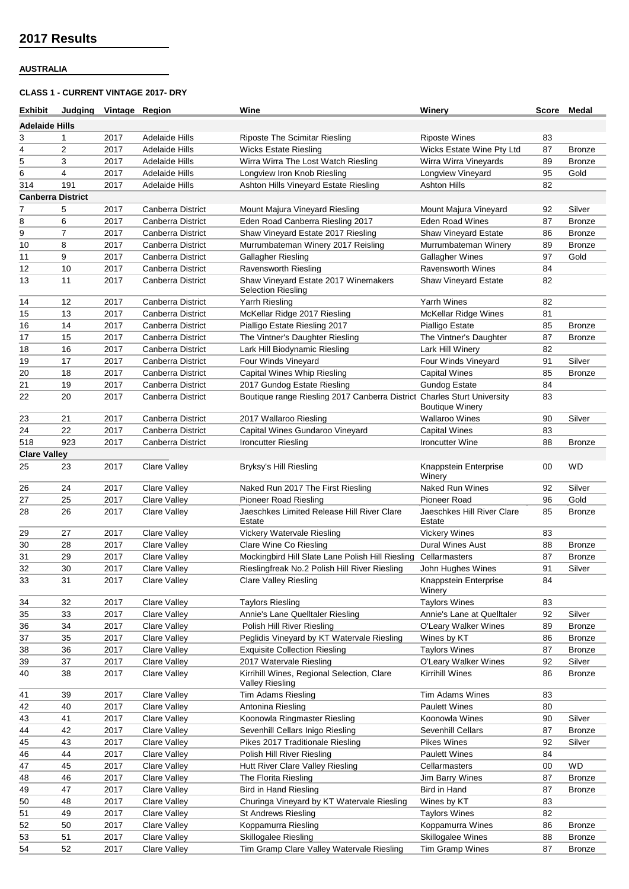### **AUSTRALIA**

### **CLASS 1 - CURRENT VINTAGE 2017- DRY**

| Exhibit                  | Judging        | Vintage Region |                          | Wine                                                                    | Winery                                          | Score | Medal         |
|--------------------------|----------------|----------------|--------------------------|-------------------------------------------------------------------------|-------------------------------------------------|-------|---------------|
| <b>Adelaide Hills</b>    |                |                |                          |                                                                         |                                                 |       |               |
| 3                        | 1              | 2017           | <b>Adelaide Hills</b>    | <b>Riposte The Scimitar Riesling</b>                                    | <b>Riposte Wines</b>                            | 83    |               |
| 4                        | 2              | 2017           | Adelaide Hills           | <b>Wicks Estate Riesling</b>                                            | Wicks Estate Wine Pty Ltd                       | 87    | <b>Bronze</b> |
| 5                        | 3              | 2017           | <b>Adelaide Hills</b>    | Wirra Wirra The Lost Watch Riesling                                     | Wirra Wirra Vineyards                           | 89    | <b>Bronze</b> |
| 6                        | 4              | 2017           | <b>Adelaide Hills</b>    | Longview Iron Knob Riesling                                             | Longview Vineyard                               | 95    | Gold          |
| 314                      | 191            | 2017           | Adelaide Hills           | Ashton Hills Vineyard Estate Riesling                                   | Ashton Hills                                    | 82    |               |
| <b>Canberra District</b> |                |                |                          |                                                                         |                                                 |       |               |
|                          |                |                |                          |                                                                         |                                                 |       | Silver        |
| 7                        | 5              | 2017           | Canberra District        | Mount Majura Vineyard Riesling                                          | Mount Majura Vineyard<br><b>Eden Road Wines</b> | 92    |               |
| 8                        | 6              | 2017           | Canberra District        | Eden Road Canberra Riesling 2017                                        |                                                 | 87    | <b>Bronze</b> |
| 9                        | $\overline{7}$ | 2017           | <b>Canberra District</b> | Shaw Vineyard Estate 2017 Riesling                                      | <b>Shaw Vineyard Estate</b>                     | 86    | <b>Bronze</b> |
| 10                       | 8              | 2017           | Canberra District        | Murrumbateman Winery 2017 Reisling                                      | Murrumbateman Winery                            | 89    | <b>Bronze</b> |
| 11                       | 9              | 2017           | Canberra District        | Gallagher Riesling                                                      | <b>Gallagher Wines</b>                          | 97    | Gold          |
| 12                       | 10             | 2017           | Canberra District        | Ravensworth Riesling                                                    | <b>Ravensworth Wines</b>                        | 84    |               |
| 13                       | 11             | 2017           | Canberra District        | Shaw Vineyard Estate 2017 Winemakers<br><b>Selection Riesling</b>       | <b>Shaw Vineyard Estate</b>                     | 82    |               |
| 14                       | 12             | 2017           | Canberra District        | Yarrh Riesling                                                          | Yarrh Wines                                     | 82    |               |
| 15                       | 13             | 2017           | <b>Canberra District</b> | McKellar Ridge 2017 Riesling                                            | <b>McKellar Ridge Wines</b>                     | 81    |               |
| 16                       | 14             | 2017           | <b>Canberra District</b> | Pialligo Estate Riesling 2017                                           | Pialligo Estate                                 | 85    | <b>Bronze</b> |
| 17                       | 15             | 2017           | Canberra District        | The Vintner's Daughter Riesling                                         | The Vintner's Daughter                          | 87    | <b>Bronze</b> |
| 18                       | 16             | 2017           | Canberra District        | Lark Hill Biodynamic Riesling                                           | Lark Hill Winery                                | 82    |               |
| 19                       | 17             | 2017           | Canberra District        | Four Winds Vineyard                                                     | Four Winds Vineyard                             | 91    | Silver        |
| 20                       | 18             | 2017           | Canberra District        | Capital Wines Whip Riesling                                             | <b>Capital Wines</b>                            | 85    | <b>Bronze</b> |
| 21                       | 19             | 2017           | Canberra District        | 2017 Gundog Estate Riesling                                             | <b>Gundog Estate</b>                            | 84    |               |
| 22                       | 20             | 2017           | Canberra District        | Boutique range Riesling 2017 Canberra District Charles Sturt University | <b>Boutique Winery</b>                          | 83    |               |
| 23                       | 21             | 2017           | Canberra District        | 2017 Wallaroo Riesling                                                  | <b>Wallaroo Wines</b>                           | 90    | Silver        |
| 24                       | 22             | 2017           | Canberra District        | Capital Wines Gundaroo Vineyard                                         | <b>Capital Wines</b>                            | 83    |               |
| 518                      | 923            | 2017           | Canberra District        | <b>Ironcutter Riesling</b>                                              | Ironcutter Wine                                 | 88    | <b>Bronze</b> |
| <b>Clare Valley</b>      |                |                |                          |                                                                         |                                                 |       |               |
| 25                       | 23             | 2017           | <b>Clare Valley</b>      | Bryksy's Hill Riesling                                                  | Knappstein Enterprise<br>Winery                 | 00    | <b>WD</b>     |
| 26                       | 24             | 2017           | Clare Valley             | Naked Run 2017 The First Riesling                                       | <b>Naked Run Wines</b>                          | 92    | Silver        |
| 27                       | 25             | 2017           | <b>Clare Valley</b>      | <b>Pioneer Road Riesling</b>                                            | Pioneer Road                                    | 96    | Gold          |
| 28                       | 26             | 2017           | Clare Valley             | Jaeschkes Limited Release Hill River Clare                              | Jaeschkes Hill River Clare                      | 85    | <b>Bronze</b> |
|                          |                |                |                          | Estate                                                                  | Estate                                          |       |               |
| 29                       | 27             | 2017           | <b>Clare Valley</b>      | Vickery Watervale Riesling                                              | <b>Vickery Wines</b>                            | 83    |               |
| 30                       | 28             | 2017           | <b>Clare Valley</b>      | Clare Wine Co Riesling                                                  | <b>Dural Wines Aust</b>                         | 88    | <b>Bronze</b> |
| 31                       | 29             | 2017           | Clare Valley             | Mockingbird Hill Slate Lane Polish Hill Riesling Cellarmasters          |                                                 | 87    | Bronze        |
| 32                       | 30             | 2017           | <b>Clare Valley</b>      | Rieslingfreak No.2 Polish Hill River Riesling                           | John Hughes Wines                               | 91    | Silver        |
| 33                       | 31             | 2017           | Clare Valley             | Clare Valley Riesling                                                   | Knappstein Enterprise<br>Winery                 | 84    |               |
| 34                       | 32             | 2017           | <b>Clare Valley</b>      | <b>Taylors Riesling</b>                                                 | <b>Taylors Wines</b>                            | 83    |               |
| 35                       | 33             | 2017           | Clare Valley             | Annie's Lane Quelltaler Riesling                                        | Annie's Lane at Quelltaler                      | 92    | Silver        |
| 36                       | 34             | 2017           | Clare Valley             | Polish Hill River Riesling                                              | O'Leary Walker Wines                            | 89    | <b>Bronze</b> |
| 37                       | 35             | 2017           | Clare Valley             | Peglidis Vineyard by KT Watervale Riesling                              | Wines by KT                                     | 86    | <b>Bronze</b> |
| 38                       | 36             | 2017           | Clare Valley             | <b>Exquisite Collection Riesling</b>                                    | <b>Taylors Wines</b>                            | 87    | Bronze        |
| 39                       | 37             | 2017           | Clare Valley             | 2017 Watervale Riesling                                                 | O'Leary Walker Wines                            | 92    | Silver        |
| 40                       | 38             | 2017           | <b>Clare Valley</b>      | Kirrihill Wines, Regional Selection, Clare<br>Valley Riesling           | <b>Kirrihill Wines</b>                          | 86    | Bronze        |
| 41                       | 39             | 2017           | Clare Valley             | Tim Adams Riesling                                                      | Tim Adams Wines                                 | 83    |               |
| 42                       | 40             | 2017           | Clare Valley             | Antonina Riesling                                                       | <b>Paulett Wines</b>                            | 80    |               |
| 43                       | 41             | 2017           | Clare Valley             | Koonowla Ringmaster Riesling                                            | Koonowla Wines                                  | 90    | Silver        |
| 44                       | 42             | 2017           | Clare Valley             | Sevenhill Cellars Inigo Riesling                                        | Sevenhill Cellars                               | 87    | Bronze        |
| 45                       | 43             | 2017           | Clare Valley             | Pikes 2017 Traditionale Riesling                                        | <b>Pikes Wines</b>                              | 92    | Silver        |
| 46                       | 44             | 2017           | Clare Valley             | Polish Hill River Riesling                                              | <b>Paulett Wines</b>                            | 84    |               |
| 47                       | 45             | 2017           | <b>Clare Valley</b>      | Hutt River Clare Valley Riesling                                        | Cellarmasters                                   | 00    | <b>WD</b>     |
| 48                       | 46             | 2017           | Clare Valley             | The Florita Riesling                                                    | Jim Barry Wines                                 | 87    | <b>Bronze</b> |
| 49                       | 47             | 2017           | <b>Clare Valley</b>      | <b>Bird in Hand Riesling</b>                                            | Bird in Hand                                    | 87    | <b>Bronze</b> |
| 50                       | 48             | 2017           | Clare Valley             | Churinga Vineyard by KT Watervale Riesling                              | Wines by KT                                     | 83    |               |
| 51                       | 49             | 2017           | Clare Valley             | <b>St Andrews Riesling</b>                                              | <b>Taylors Wines</b>                            | 82    |               |
| 52                       | 50             | 2017           | Clare Valley             | Koppamurra Riesling                                                     | Koppamurra Wines                                | 86    | <b>Bronze</b> |
| 53                       | 51             | 2017           | Clare Valley             | <b>Skillogalee Riesling</b>                                             | Skillogalee Wines                               | 88    | Bronze        |
| 54                       | 52             | 2017           | Clare Valley             | Tim Gramp Clare Valley Watervale Riesling                               | Tim Gramp Wines                                 | 87    | <b>Bronze</b> |
|                          |                |                |                          |                                                                         |                                                 |       |               |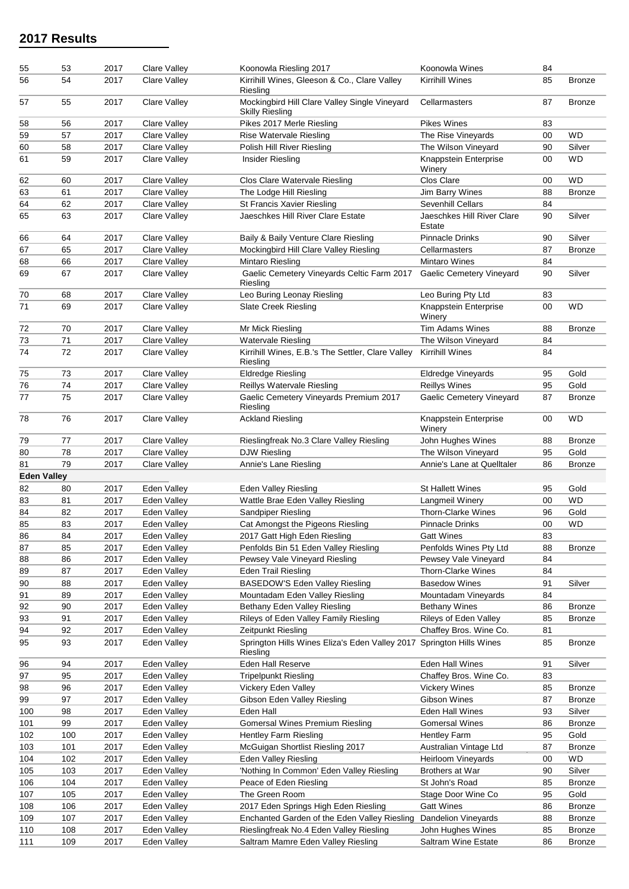| 55                 | 53       | 2017         | <b>Clare Valley</b>        | Koonowla Riesling 2017                                                            | Koonowla Wines                                 | 84       |               |
|--------------------|----------|--------------|----------------------------|-----------------------------------------------------------------------------------|------------------------------------------------|----------|---------------|
| 56                 | 54       | 2017         | Clare Valley               | Kirrihill Wines, Gleeson & Co., Clare Valley<br>Riesling                          | <b>Kirrihill Wines</b>                         | 85       | <b>Bronze</b> |
| 57                 | 55       | 2017         | <b>Clare Valley</b>        | Mockingbird Hill Clare Valley Single Vineyard<br><b>Skilly Riesling</b>           | Cellarmasters                                  | 87       | <b>Bronze</b> |
| 58                 | 56       | 2017         | Clare Valley               | Pikes 2017 Merle Riesling                                                         | <b>Pikes Wines</b>                             | 83       |               |
| 59                 | 57       | 2017         | Clare Valley               | Rise Watervale Riesling                                                           | The Rise Vineyards                             | 00       | <b>WD</b>     |
| 60                 | 58       | 2017         | <b>Clare Valley</b>        | Polish Hill River Riesling                                                        | The Wilson Vineyard                            | 90       | Silver        |
| 61                 | 59       | 2017         | <b>Clare Valley</b>        | Insider Riesling                                                                  | Knappstein Enterprise<br>Winery                | 00       | <b>WD</b>     |
| 62                 | 60       | 2017         | <b>Clare Valley</b>        | Clos Clare Watervale Riesling                                                     | Clos Clare                                     | 00       | <b>WD</b>     |
| 63                 | 61       | 2017         | <b>Clare Valley</b>        | The Lodge Hill Riesling                                                           | Jim Barry Wines                                | 88       | <b>Bronze</b> |
| 64                 | 62       | 2017         | <b>Clare Valley</b>        | St Francis Xavier Riesling                                                        | <b>Sevenhill Cellars</b>                       | 84       |               |
| 65                 | 63       | 2017         | <b>Clare Valley</b>        | Jaeschkes Hill River Clare Estate                                                 | Jaeschkes Hill River Clare<br>Estate           | 90       | Silver        |
| 66                 | 64       | 2017         | Clare Valley               | Baily & Baily Venture Clare Riesling                                              | <b>Pinnacle Drinks</b>                         | 90       | Silver        |
| 67                 | 65       | 2017         | Clare Valley               | Mockingbird Hill Clare Valley Riesling                                            | Cellarmasters                                  | 87       | <b>Bronze</b> |
| 68                 | 66       | 2017         | <b>Clare Valley</b>        | Mintaro Riesling                                                                  | <b>Mintaro Wines</b>                           | 84       |               |
| 69                 | 67       | 2017         | <b>Clare Valley</b>        | Gaelic Cemetery Vineyards Celtic Farm 2017   Gaelic Cemetery Vineyard<br>Riesling |                                                | 90       | Silver        |
| 70                 | 68       | 2017         | <b>Clare Valley</b>        | Leo Buring Leonay Riesling                                                        | Leo Buring Pty Ltd                             | 83       |               |
| 71                 | 69       | 2017         | <b>Clare Valley</b>        | <b>Slate Creek Riesling</b>                                                       | Knappstein Enterprise<br>Winery                | 00       | <b>WD</b>     |
| 72                 | 70       | 2017         | Clare Valley               | Mr Mick Riesling                                                                  | <b>Tim Adams Wines</b>                         | 88       | <b>Bronze</b> |
| 73                 | 71       | 2017         | Clare Valley               | <b>Watervale Riesling</b>                                                         | The Wilson Vineyard                            | 84       |               |
| 74                 | 72       | 2017         | Clare Valley               | Kirrihill Wines, E.B.'s The Settler, Clare Valley<br>Riesling                     | Kirrihill Wines                                | 84       |               |
| 75                 | 73       | 2017         | Clare Valley               | <b>Eldredge Riesling</b>                                                          | Eldredge Vineyards                             | 95       | Gold          |
| 76                 | 74       | 2017         | <b>Clare Valley</b>        | Reillys Watervale Riesling                                                        | <b>Reillys Wines</b>                           | 95       | Gold          |
| 77                 | 75       | 2017         | Clare Valley               | Gaelic Cemetery Vineyards Premium 2017<br>Riesling                                | Gaelic Cemetery Vineyard                       | 87       | <b>Bronze</b> |
| 78                 | 76       | 2017         | Clare Valley               | <b>Ackland Riesling</b>                                                           | Knappstein Enterprise<br>Winery                | 00       | <b>WD</b>     |
| 79                 | 77       | 2017         | <b>Clare Valley</b>        | Rieslingfreak No.3 Clare Valley Riesling                                          | John Hughes Wines                              | 88       | <b>Bronze</b> |
| 80                 | 78       | 2017         | Clare Valley               | <b>DJW Riesling</b>                                                               | The Wilson Vineyard                            | 95       | Gold          |
| 81                 | 79       | 2017         | <b>Clare Valley</b>        | Annie's Lane Riesling                                                             | Annie's Lane at Quelltaler                     | 86       | <b>Bronze</b> |
| <b>Eden Valley</b> |          |              |                            |                                                                                   |                                                |          |               |
| 82                 | 80       | 2017         | Eden Valley                | Eden Valley Riesling                                                              | <b>St Hallett Wines</b>                        | 95       | Gold          |
| 83                 | 81       | 2017         | Eden Valley                | Wattle Brae Eden Valley Riesling                                                  | Langmeil Winery                                | 00       | <b>WD</b>     |
| 84                 | 82       | 2017         | Eden Valley                | Sandpiper Riesling                                                                | <b>Thorn-Clarke Wines</b>                      | 96       | Gold          |
| 85                 | 83       | 2017         | Eden Valley                | Cat Amongst the Pigeons Riesling                                                  | <b>Pinnacle Drinks</b>                         | 00       | <b>WD</b>     |
| 86                 | 84       | 2017         | Eden Valley                | 2017 Gatt High Eden Riesling                                                      | <b>Gatt Wines</b>                              | 83       |               |
| 87<br>88           | 85<br>86 | 2017<br>2017 | Eden Valley<br>Eden Valley | Penfolds Bin 51 Eden Valley Riesling<br>Pewsey Vale Vineyard Riesling             | Penfolds Wines Pty Ltd<br>Pewsey Vale Vineyard | 88<br>84 | <b>Bronze</b> |
| 89                 | 87       | 2017         | Eden Valley                | <b>Eden Trail Riesling</b>                                                        | Thorn-Clarke Wines                             | 84       |               |
| 90                 | 88       | 2017         | Eden Valley                | <b>BASEDOW'S Eden Valley Riesling</b>                                             | <b>Basedow Wines</b>                           | 91       | Silver        |
| 91                 | 89       | 2017         | Eden Valley                | Mountadam Eden Valley Riesling                                                    | Mountadam Vineyards                            | 84       |               |
| 92                 | 90       | 2017         | Eden Valley                | Bethany Eden Valley Riesling                                                      | <b>Bethany Wines</b>                           | 86       | <b>Bronze</b> |
| 93                 | 91       | 2017         | Eden Valley                | Rileys of Eden Valley Family Riesling                                             | Rileys of Eden Valley                          | 85       | <b>Bronze</b> |
| 94                 | 92       | 2017         | Eden Valley                | Zeitpunkt Riesling                                                                | Chaffey Bros. Wine Co.                         | 81       |               |
| 95                 | 93       | 2017         | Eden Valley                | Springton Hills Wines Eliza's Eden Valley 2017 Springton Hills Wines<br>Riesling  |                                                | 85       | <b>Bronze</b> |
| 96                 | 94       | 2017         | Eden Valley                | Eden Hall Reserve                                                                 | Eden Hall Wines                                | 91       | Silver        |
| 97                 | 95       | 2017         | Eden Valley                | <b>Tripelpunkt Riesling</b>                                                       | Chaffey Bros. Wine Co.                         | 83       |               |
| 98                 | 96       | 2017         | Eden Valley                | Vickery Eden Valley                                                               | <b>Vickery Wines</b>                           | 85       | <b>Bronze</b> |
| 99                 | 97       | 2017         | Eden Valley                | Gibson Eden Valley Riesling                                                       | Gibson Wines                                   | 87       | <b>Bronze</b> |
| 100                | 98       | 2017         | Eden Valley                | Eden Hall                                                                         | Eden Hall Wines                                | 93       | Silver        |
| 101                | 99       | 2017         | Eden Valley                | Gomersal Wines Premium Riesling                                                   | <b>Gomersal Wines</b>                          | 86       | <b>Bronze</b> |
| 102                | 100      | 2017         | Eden Valley                | <b>Hentley Farm Riesling</b>                                                      | <b>Hentley Farm</b>                            | 95       | Gold          |
| 103                | 101      | 2017         | Eden Valley                | McGuigan Shortlist Riesling 2017                                                  | Australian Vintage Ltd                         | 87       | <b>Bronze</b> |
| 104                | 102      | 2017         | Eden Valley                | Eden Valley Riesling                                                              | Heirloom Vineyards                             | 00       | WD            |
| 105                | 103      | 2017         | Eden Valley                | 'Nothing In Common' Eden Valley Riesling                                          | Brothers at War                                | 90       | Silver        |
| 106                | 104      | 2017         | Eden Valley                | Peace of Eden Riesling                                                            | St John's Road                                 | 85       | Bronze        |
| 107                | 105      | 2017         | Eden Valley                | The Green Room                                                                    | Stage Door Wine Co                             | 95       | Gold          |
| 108                | 106      | 2017         | Eden Valley                | 2017 Eden Springs High Eden Riesling                                              | <b>Gatt Wines</b>                              | 86       | Bronze        |
| 109                | 107      | 2017         | Eden Valley                | Enchanted Garden of the Eden Valley Riesling                                      | <b>Dandelion Vineyards</b>                     | 88       | <b>Bronze</b> |
| 110<br>111         | 108      | 2017         | Eden Valley                | Rieslingfreak No.4 Eden Valley Riesling                                           | John Hughes Wines                              | 85       | Bronze        |
|                    | 109      | 2017         | Eden Valley                | Saltram Mamre Eden Valley Riesling                                                | Saltram Wine Estate                            | 86       | <b>Bronze</b> |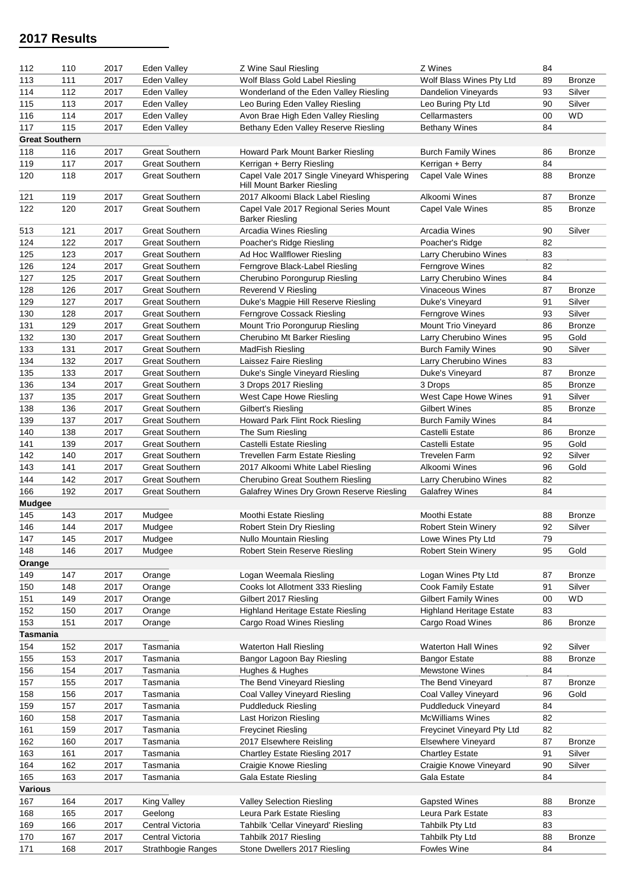| 112                   | 110 | 2017 | Eden Valley           | Z Wine Saul Riesling                                                     | Z Wines                         | 84 |               |
|-----------------------|-----|------|-----------------------|--------------------------------------------------------------------------|---------------------------------|----|---------------|
| 113                   | 111 | 2017 | Eden Valley           | Wolf Blass Gold Label Riesling                                           | Wolf Blass Wines Pty Ltd        | 89 | <b>Bronze</b> |
| 114                   | 112 | 2017 | Eden Valley           | Wonderland of the Eden Valley Riesling                                   | Dandelion Vineyards             | 93 | Silver        |
| 115                   | 113 | 2017 | Eden Valley           | Leo Buring Eden Valley Riesling                                          | Leo Buring Pty Ltd              | 90 | Silver        |
| 116                   | 114 | 2017 | Eden Valley           | Avon Brae High Eden Valley Riesling                                      | Cellarmasters                   | 00 | <b>WD</b>     |
| 117                   | 115 | 2017 | Eden Valley           | Bethany Eden Valley Reserve Riesling                                     | <b>Bethany Wines</b>            | 84 |               |
| <b>Great Southern</b> |     |      |                       |                                                                          |                                 |    |               |
| 118                   | 116 | 2017 | <b>Great Southern</b> | Howard Park Mount Barker Riesling                                        | <b>Burch Family Wines</b>       | 86 | <b>Bronze</b> |
| 119                   | 117 | 2017 | <b>Great Southern</b> | Kerrigan + Berry Riesling                                                | Kerrigan + Berry                | 84 |               |
| 120                   | 118 | 2017 | <b>Great Southern</b> | Capel Vale 2017 Single Vineyard Whispering<br>Hill Mount Barker Riesling | Capel Vale Wines                | 88 | <b>Bronze</b> |
|                       | 119 | 2017 | <b>Great Southern</b> | 2017 Alkoomi Black Label Riesling                                        | Alkoomi Wines                   | 87 |               |
| 121                   |     |      | <b>Great Southern</b> | Capel Vale 2017 Regional Series Mount                                    |                                 |    | <b>Bronze</b> |
| 122                   | 120 | 2017 |                       | <b>Barker Riesling</b>                                                   | Capel Vale Wines                | 85 | <b>Bronze</b> |
| 513                   | 121 | 2017 | <b>Great Southern</b> | Arcadia Wines Riesling                                                   | Arcadia Wines                   | 90 | Silver        |
| 124                   | 122 | 2017 | <b>Great Southern</b> | Poacher's Ridge Riesling                                                 | Poacher's Ridge                 | 82 |               |
| 125                   | 123 | 2017 | <b>Great Southern</b> | Ad Hoc Wallflower Riesling                                               | Larry Cherubino Wines           | 83 |               |
| 126                   | 124 | 2017 | <b>Great Southern</b> | Ferngrove Black-Label Riesling                                           | Ferngrove Wines                 | 82 |               |
| 127                   | 125 | 2017 | <b>Great Southern</b> | Cherubino Porongurup Riesling                                            | Larry Cherubino Wines           | 84 |               |
| 128                   | 126 | 2017 | <b>Great Southern</b> | Reverend V Riesling                                                      | <b>Vinaceous Wines</b>          | 87 | <b>Bronze</b> |
| 129                   | 127 | 2017 | <b>Great Southern</b> | Duke's Magpie Hill Reserve Riesling                                      | Duke's Vineyard                 | 91 | Silver        |
| 130                   | 128 | 2017 | <b>Great Southern</b> | Ferngrove Cossack Riesling                                               | Ferngrove Wines                 | 93 | Silver        |
| 131                   | 129 | 2017 | <b>Great Southern</b> | Mount Trio Porongurup Riesling                                           | Mount Trio Vineyard             | 86 | <b>Bronze</b> |
| 132                   | 130 | 2017 | <b>Great Southern</b> | Cherubino Mt Barker Riesling                                             | Larry Cherubino Wines           | 95 | Gold          |
| 133                   | 131 | 2017 | <b>Great Southern</b> | MadFish Riesling                                                         | <b>Burch Family Wines</b>       | 90 | Silver        |
| 134                   | 132 | 2017 | <b>Great Southern</b> | Laissez Faire Riesling                                                   | Larry Cherubino Wines           | 83 |               |
| 135                   | 133 | 2017 | <b>Great Southern</b> | Duke's Single Vineyard Riesling                                          | Duke's Vineyard                 | 87 | <b>Bronze</b> |
| 136                   | 134 | 2017 | <b>Great Southern</b> | 3 Drops 2017 Riesling                                                    | 3 Drops                         | 85 | <b>Bronze</b> |
| 137                   | 135 | 2017 | <b>Great Southern</b> | West Cape Howe Riesling                                                  | West Cape Howe Wines            | 91 | Silver        |
| 138                   | 136 | 2017 | <b>Great Southern</b> | Gilbert's Riesling                                                       | <b>Gilbert Wines</b>            | 85 | <b>Bronze</b> |
| 139                   | 137 | 2017 | <b>Great Southern</b> | Howard Park Flint Rock Riesling                                          | <b>Burch Family Wines</b>       | 84 |               |
| 140                   | 138 | 2017 | <b>Great Southern</b> | The Sum Riesling                                                         | Castelli Estate                 | 86 | <b>Bronze</b> |
| 141                   | 139 | 2017 | <b>Great Southern</b> | Castelli Estate Riesling                                                 | Castelli Estate                 | 95 | Gold          |
| 142                   | 140 | 2017 | <b>Great Southern</b> | <b>Trevellen Farm Estate Riesling</b>                                    | <b>Trevelen Farm</b>            | 92 | Silver        |
| 143                   | 141 | 2017 | <b>Great Southern</b> | 2017 Alkoomi White Label Riesling                                        | Alkoomi Wines                   | 96 | Gold          |
|                       |     |      |                       |                                                                          |                                 |    |               |
| 144                   | 142 | 2017 | <b>Great Southern</b> | Cherubino Great Southern Riesling                                        | Larry Cherubino Wines           | 82 |               |
| 166                   | 192 | 2017 | <b>Great Southern</b> | Galafrey Wines Dry Grown Reserve Riesling                                | <b>Galafrey Wines</b>           | 84 |               |
| <b>Mudgee</b>         |     |      |                       |                                                                          |                                 |    |               |
| 145                   | 143 | 2017 | Mudgee                | Moothi Estate Riesling                                                   | Moothi Estate                   | 88 | <b>Bronze</b> |
| 146                   | 144 | 2017 | Mudgee                | Robert Stein Dry Riesling                                                | <b>Robert Stein Winerv</b>      | 92 | Silver        |
| 147                   | 145 | 2017 | Mudgee                | Nullo Mountain Riesling                                                  | Lowe Wines Pty Ltd              | 79 |               |
| 148                   | 146 | 2017 | Mudgee                | Robert Stein Reserve Riesling                                            | <b>Robert Stein Winery</b>      | 95 | Gold          |
| Orange                |     |      |                       |                                                                          |                                 |    |               |
| 149                   | 147 | 2017 | Orange                | Logan Weemala Riesling                                                   | Logan Wines Pty Ltd             | 87 | <b>Bronze</b> |
| 150                   | 148 | 2017 | Orange                | Cooks lot Allotment 333 Riesling                                         | Cook Family Estate              | 91 | Silver        |
| 151                   | 149 | 2017 | Orange                | Gilbert 2017 Riesling                                                    | <b>Gilbert Family Wines</b>     | 00 | <b>WD</b>     |
| 152                   | 150 | 2017 | Orange                | Highland Heritage Estate Riesling                                        | <b>Highland Heritage Estate</b> | 83 |               |
| 153                   | 151 | 2017 | Orange                | Cargo Road Wines Riesling                                                | Cargo Road Wines                | 86 | <b>Bronze</b> |
| Tasmania              |     |      |                       |                                                                          |                                 |    |               |
| 154                   | 152 | 2017 | Tasmania              | <b>Waterton Hall Riesling</b>                                            | Waterton Hall Wines             | 92 | Silver        |
| 155                   | 153 | 2017 | Tasmania              | Bangor Lagoon Bay Riesling                                               | <b>Bangor Estate</b>            | 88 | <b>Bronze</b> |
| 156                   | 154 | 2017 | Tasmania              | Hughes & Hughes                                                          | Mewstone Wines                  | 84 |               |
| 157                   | 155 | 2017 | Tasmania              | The Bend Vineyard Riesling                                               | The Bend Vineyard               | 87 | <b>Bronze</b> |
| 158                   | 156 | 2017 | Tasmania              | Coal Valley Vineyard Riesling                                            | Coal Valley Vineyard            | 96 | Gold          |
| 159                   | 157 | 2017 | Tasmania              | <b>Puddleduck Riesling</b>                                               | Puddleduck Vineyard             | 84 |               |
| 160                   | 158 | 2017 | Tasmania              | Last Horizon Riesling                                                    | <b>McWilliams Wines</b>         | 82 |               |
| 161                   | 159 | 2017 | Tasmania              | <b>Freycinet Riesling</b>                                                | Freycinet Vineyard Pty Ltd      | 82 |               |
| 162                   | 160 | 2017 | Tasmania              | 2017 Elsewhere Reisling                                                  | <b>Elsewhere Vineyard</b>       | 87 | <b>Bronze</b> |
|                       |     |      |                       |                                                                          |                                 |    |               |
| 163                   | 161 | 2017 | Tasmania              | Chartley Estate Riesling 2017                                            | <b>Chartley Estate</b>          | 91 | Silver        |
| 164                   | 162 | 2017 | Tasmania              | Craigie Knowe Riesling                                                   | Craigie Knowe Vineyard          | 90 | Silver        |
| 165                   | 163 | 2017 | Tasmania              | <b>Gala Estate Riesling</b>                                              | Gala Estate                     | 84 |               |
| <b>Various</b>        |     |      |                       |                                                                          |                                 |    |               |
| 167                   | 164 | 2017 | King Valley           | Valley Selection Riesling                                                | <b>Gapsted Wines</b>            | 88 | <b>Bronze</b> |
| 168                   | 165 | 2017 | Geelong               | Leura Park Estate Riesling                                               | Leura Park Estate               | 83 |               |
| 169                   | 166 | 2017 | Central Victoria      | Tahbilk 'Cellar Vineyard' Riesling                                       | Tahbilk Pty Ltd                 | 83 |               |
| 170                   | 167 | 2017 | Central Victoria      | Tahbilk 2017 Riesling                                                    | Tahbilk Pty Ltd                 | 88 | <b>Bronze</b> |
| 171                   | 168 | 2017 | Strathbogie Ranges    | Stone Dwellers 2017 Riesling                                             | Fowles Wine                     | 84 |               |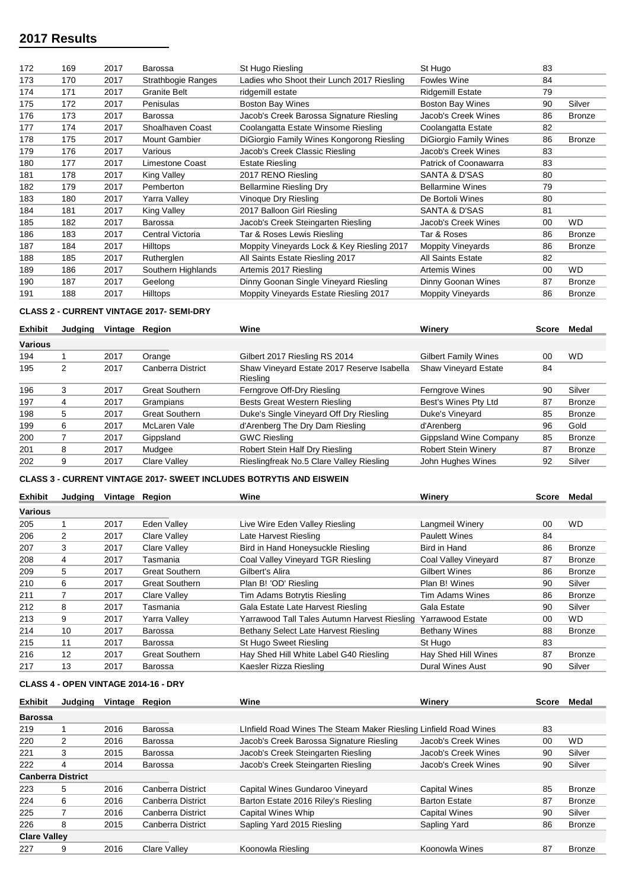| 172 | 169 | 2017 | Barossa                   | St Hugo Riesling                           | St Hugo                  | 83      |               |
|-----|-----|------|---------------------------|--------------------------------------------|--------------------------|---------|---------------|
| 173 | 170 | 2017 | <b>Strathbogie Ranges</b> | Ladies who Shoot their Lunch 2017 Riesling | <b>Fowles Wine</b>       | 84      |               |
| 174 | 171 | 2017 | <b>Granite Belt</b>       | ridgemill estate                           | <b>Ridgemill Estate</b>  | 79      |               |
| 175 | 172 | 2017 | Penisulas                 | <b>Boston Bay Wines</b>                    | <b>Boston Bay Wines</b>  | 90      | Silver        |
| 176 | 173 | 2017 | Barossa                   | Jacob's Creek Barossa Signature Riesling   | Jacob's Creek Wines      | 86      | <b>Bronze</b> |
| 177 | 174 | 2017 | Shoalhaven Coast          | Coolangatta Estate Winsome Riesling        | Coolangatta Estate       | 82      |               |
| 178 | 175 | 2017 | <b>Mount Gambier</b>      | DiGiorgio Family Wines Kongorong Riesling  | DiGiorgio Family Wines   | 86      | <b>Bronze</b> |
| 179 | 176 | 2017 | Various                   | Jacob's Creek Classic Riesling             | Jacob's Creek Wines      | 83      |               |
| 180 | 177 | 2017 | Limestone Coast           | <b>Estate Riesling</b>                     | Patrick of Coonawarra    | 83      |               |
| 181 | 178 | 2017 | King Valley               | 2017 RENO Riesling                         | SANTA & D'SAS            | 80      |               |
| 182 | 179 | 2017 | Pemberton                 | <b>Bellarmine Riesling Dry</b>             | <b>Bellarmine Wines</b>  | 79      |               |
| 183 | 180 | 2017 | Yarra Valley              | Vinoque Dry Riesling                       | De Bortoli Wines         | 80      |               |
| 184 | 181 | 2017 | King Valley               | 2017 Balloon Girl Riesling                 | SANTA & D'SAS            | 81      |               |
| 185 | 182 | 2017 | Barossa                   | Jacob's Creek Steingarten Riesling         | Jacob's Creek Wines      | $00 \,$ | <b>WD</b>     |
| 186 | 183 | 2017 | Central Victoria          | Tar & Roses Lewis Riesling                 | Tar & Roses              | 86      | <b>Bronze</b> |
| 187 | 184 | 2017 | Hilltops                  | Moppity Vineyards Lock & Key Riesling 2017 | <b>Moppity Vineyards</b> | 86      | <b>Bronze</b> |
| 188 | 185 | 2017 | Rutherglen                | All Saints Estate Riesling 2017            | All Saints Estate        | 82      |               |
| 189 | 186 | 2017 | Southern Highlands        | Artemis 2017 Riesling                      | <b>Artemis Wines</b>     | 00      | <b>WD</b>     |
| 190 | 187 | 2017 | Geelong                   | Dinny Goonan Single Vineyard Riesling      | Dinny Goonan Wines       | 87      | <b>Bronze</b> |
| 191 | 188 | 2017 | <b>Hilltops</b>           | Moppity Vineyards Estate Riesling 2017     | <b>Moppity Vineyards</b> | 86      | <b>Bronze</b> |
|     |     |      |                           |                                            |                          |         |               |

#### **CLASS 2 - CURRENT VINTAGE 2017- SEMI-DRY**

| <b>Exhibit</b> | Judging | Vintage | Reaion                | Wine                                                   | Winery                      | Score | Medal         |
|----------------|---------|---------|-----------------------|--------------------------------------------------------|-----------------------------|-------|---------------|
| <b>Various</b> |         |         |                       |                                                        |                             |       |               |
| 194            |         | 2017    | Orange                | Gilbert 2017 Riesling RS 2014                          | <b>Gilbert Family Wines</b> | 00    | <b>WD</b>     |
| 195            | 2       | 2017    | Canberra District     | Shaw Vineyard Estate 2017 Reserve Isabella<br>Riesling | <b>Shaw Vineyard Estate</b> | 84    |               |
| 196            |         | 2017    | <b>Great Southern</b> | Ferngrove Off-Dry Riesling                             | Ferngrove Wines             | 90    | Silver        |
| 197            |         | 2017    | Grampians             | Bests Great Western Riesling                           | Best's Wines Pty Ltd        | 87    | <b>Bronze</b> |
| 198            | 5       | 2017    | <b>Great Southern</b> | Duke's Single Vineyard Off Dry Riesling                | Duke's Vineyard             | 85    | <b>Bronze</b> |
| 199            | 6       | 2017    | McLaren Vale          | d'Arenberg The Dry Dam Riesling                        | d'Arenberg                  | 96    | Gold          |
| 200            |         | 2017    | Gippsland             | <b>GWC Riesling</b>                                    | Gippsland Wine Company      | 85    | <b>Bronze</b> |
| 201            | 8       | 2017    | Mudgee                | Robert Stein Half Dry Riesling                         | <b>Robert Stein Winery</b>  | 87    | <b>Bronze</b> |
| 202            | 9       | 2017    | Clare Valley          | Rieslingfreak No.5 Clare Valley Riesling               | John Hughes Wines           | 92    | Silver        |

### **CLASS 3 - CURRENT VINTAGE 2017- SWEET INCLUDES BOTRYTIS AND EISWEIN**

| <b>Exhibit</b> | Judaina | Vintage | Reaion                | Wine                                         | Winerv                  | Score   | Medal         |
|----------------|---------|---------|-----------------------|----------------------------------------------|-------------------------|---------|---------------|
| Various        |         |         |                       |                                              |                         |         |               |
| 205            |         | 2017    | Eden Valley           | Live Wire Eden Valley Riesling               | Langmeil Winery         | $00 \,$ | <b>WD</b>     |
| 206            | 2       | 2017    | Clare Valley          | Late Harvest Riesling                        | <b>Paulett Wines</b>    | 84      |               |
| 207            | 3       | 2017    | Clare Valley          | Bird in Hand Honeysuckle Riesling            | Bird in Hand            | 86      | <b>Bronze</b> |
| 208            | 4       | 2017    | Tasmania              | Coal Valley Vineyard TGR Riesling            | Coal Valley Vineyard    | 87      | <b>Bronze</b> |
| 209            | 5       | 2017    | <b>Great Southern</b> | Gilbert's Alira                              | <b>Gilbert Wines</b>    | 86      | <b>Bronze</b> |
| 210            | 6       | 2017    | <b>Great Southern</b> | Plan B! 'OD' Riesling                        | Plan B! Wines           | 90      | Silver        |
| 211            |         | 2017    | Clare Valley          | Tim Adams Botrytis Riesling                  | <b>Tim Adams Wines</b>  | 86      | Bronze        |
| 212            | 8       | 2017    | Tasmania              | Gala Estate Late Harvest Riesling            | Gala Estate             | 90      | Silver        |
| 213            | 9       | 2017    | Yarra Valley          | Yarrawood Tall Tales Autumn Harvest Riesling | <b>Yarrawood Estate</b> | 00      | WD.           |
| 214            | 10      | 2017    | Barossa               | Bethany Select Late Harvest Riesling         | <b>Bethany Wines</b>    | 88      | Bronze        |
| 215            | 11      | 2017    | Barossa               | St Hugo Sweet Riesling                       | St Hugo                 | 83      |               |
| 216            | 12      | 2017    | <b>Great Southern</b> | Hay Shed Hill White Label G40 Riesling       | Hay Shed Hill Wines     | 87      | Bronze        |
| 217            | 13      | 2017    | Barossa               | Kaesler Rizza Riesling                       | <b>Dural Wines Aust</b> | 90      | Silver        |

### **CLASS 4 - OPEN VINTAGE 2014-16 - DRY**

| <b>Exhibit</b>           | Judaina | Vintage | Region              | Wine                                                             | Winery               | <b>Score</b> | Medal         |
|--------------------------|---------|---------|---------------------|------------------------------------------------------------------|----------------------|--------------|---------------|
| <b>Barossa</b>           |         |         |                     |                                                                  |                      |              |               |
| 219                      |         | 2016    | Barossa             | LInfield Road Wines The Steam Maker Riesling Linfield Road Wines |                      | 83           |               |
| 220                      | 2       | 2016    | Barossa             | Jacob's Creek Barossa Signature Riesling                         | Jacob's Creek Wines  | 00           | <b>WD</b>     |
| 221                      | 3       | 2015    | <b>Barossa</b>      | Jacob's Creek Steingarten Riesling                               | Jacob's Creek Wines  | 90           | Silver        |
| 222                      | 4       | 2014    | Barossa             | Jacob's Creek Steingarten Riesling                               | Jacob's Creek Wines  | 90           | Silver        |
| <b>Canberra District</b> |         |         |                     |                                                                  |                      |              |               |
| 223                      | 5       | 2016    | Canberra District   | Capital Wines Gundaroo Vineyard                                  | <b>Capital Wines</b> | 85           | Bronze        |
| 224                      | 6       | 2016    | Canberra District   | Barton Estate 2016 Riley's Riesling                              | <b>Barton Estate</b> | 87           | Bronze        |
| 225                      |         | 2016    | Canberra District   | Capital Wines Whip                                               | <b>Capital Wines</b> | 90           | Silver        |
| 226                      | 8       | 2015    | Canberra District   | Sapling Yard 2015 Riesling                                       | Sapling Yard         | 86           | <b>Bronze</b> |
| <b>Clare Valley</b>      |         |         |                     |                                                                  |                      |              |               |
| 227                      | 9       | 2016    | <b>Clare Valley</b> | Koonowla Riesling                                                | Koonowla Wines       | 87           | Bronze        |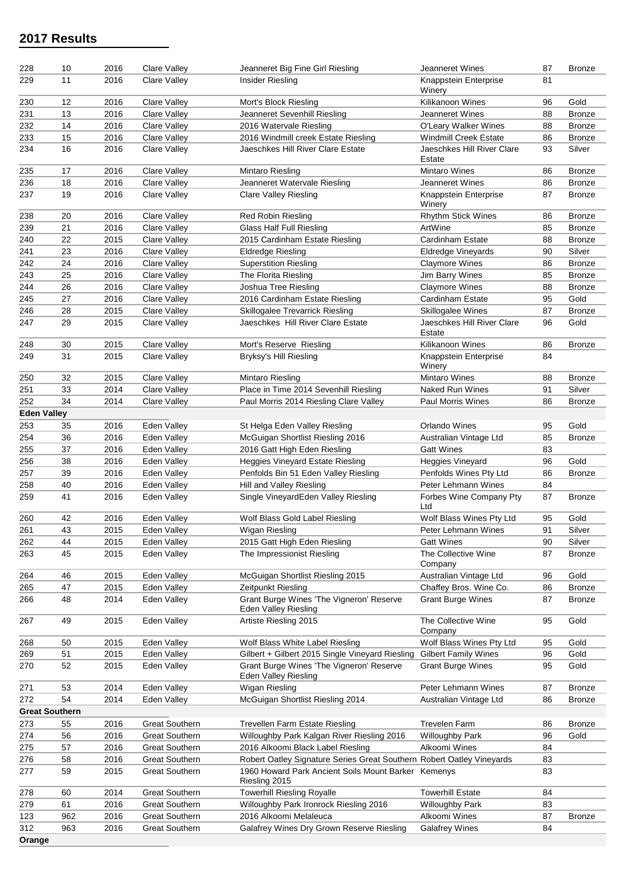| 228                   | 10        | 2016         | Clare Valley                                   | Jeanneret Big Fine Girl Riesling                                             | Jeanneret Wines                                | 87       | <b>Bronze</b> |
|-----------------------|-----------|--------------|------------------------------------------------|------------------------------------------------------------------------------|------------------------------------------------|----------|---------------|
| 229                   | 11        | 2016         | <b>Clare Valley</b>                            | Insider Riesling                                                             | Knappstein Enterprise<br>Winery                | 81       |               |
| 230                   | 12        | 2016         | <b>Clare Valley</b>                            | Mort's Block Riesling                                                        | <b>Kilikanoon Wines</b>                        | 96       | Gold          |
| 231                   | 13        | 2016         | Clare Valley                                   | Jeanneret Sevenhill Riesling                                                 | Jeanneret Wines                                | 88       | <b>Bronze</b> |
| 232                   | 14        | 2016         | Clare Valley                                   | 2016 Watervale Riesling                                                      | O'Leary Walker Wines                           | 88       | <b>Bronze</b> |
| 233                   | 15        | 2016         | Clare Valley                                   | 2016 Windmill creek Estate Riesling                                          | <b>Windmill Creek Estate</b>                   | 86       | <b>Bronze</b> |
| 234                   | 16        | 2016         | Clare Valley                                   | Jaeschkes Hill River Clare Estate                                            | Jaeschkes Hill River Clare                     | 93       | Silver        |
|                       |           |              |                                                |                                                                              | Estate                                         |          |               |
| 235                   | 17        | 2016         | Clare Valley                                   | Mintaro Riesling                                                             | <b>Mintaro Wines</b>                           | 86       | <b>Bronze</b> |
| 236                   | 18        | 2016         | Clare Valley                                   | Jeanneret Watervale Riesling                                                 | Jeanneret Wines                                | 86       | <b>Bronze</b> |
| 237                   | 19        | 2016         | Clare Valley                                   | <b>Clare Valley Riesling</b>                                                 | Knappstein Enterprise<br>Winery                | 87       | <b>Bronze</b> |
| 238                   | 20        | 2016         | Clare Valley                                   | Red Robin Riesling                                                           | <b>Rhythm Stick Wines</b>                      | 86       | <b>Bronze</b> |
| 239                   | 21        | 2016         | Clare Valley                                   | <b>Glass Half Full Riesling</b>                                              | ArtWine                                        | 85       | <b>Bronze</b> |
| 240                   | 22        | 2015         | Clare Valley                                   | 2015 Cardinham Estate Riesling                                               | Cardinham Estate                               | 88       | <b>Bronze</b> |
| 241                   | 23        | 2016         | Clare Valley                                   | <b>Eldredge Riesling</b>                                                     | Eldredge Vineyards                             | 90       | Silver        |
| 242                   | 24        | 2016         | Clare Valley                                   | <b>Superstition Riesling</b>                                                 | <b>Claymore Wines</b>                          | 86       | <b>Bronze</b> |
| 243                   | 25        | 2016         | Clare Valley                                   | The Florita Riesling                                                         | Jim Barry Wines                                | 85       | <b>Bronze</b> |
| 244                   | 26        | 2016         | Clare Valley                                   | Joshua Tree Riesling                                                         | <b>Claymore Wines</b>                          | 88       | <b>Bronze</b> |
| 245                   | 27        | 2016         | Clare Valley                                   | 2016 Cardinham Estate Riesling                                               | Cardinham Estate                               | 95       | Gold          |
| 246                   | 28        | 2015         | Clare Valley                                   | Skillogalee Trevarrick Riesling                                              | Skillogalee Wines                              | 87       | <b>Bronze</b> |
| 247                   | 29        | 2015         | Clare Valley                                   | Jaeschkes Hill River Clare Estate                                            | Jaeschkes Hill River Clare                     | 96       | Gold          |
|                       |           |              |                                                | Mort's Reserve Riesling                                                      | Estate<br><b>Kilikanoon Wines</b>              |          |               |
| 248                   | 30        | 2015         | Clare Valley<br><b>Clare Valley</b>            | Bryksy's Hill Riesling                                                       |                                                | 86       | <b>Bronze</b> |
| 249                   | 31        | 2015         |                                                |                                                                              | Knappstein Enterprise<br>Winery                | 84       |               |
| 250                   | 32        | 2015         | Clare Valley                                   | Mintaro Riesling                                                             | <b>Mintaro Wines</b>                           | 88       | <b>Bronze</b> |
| 251                   | 33        | 2014         | Clare Valley                                   | Place in Time 2014 Sevenhill Riesling                                        | <b>Naked Run Wines</b>                         | 91       | Silver        |
| 252                   | 34        | 2014         | <b>Clare Valley</b>                            | Paul Morris 2014 Riesling Clare Valley                                       | <b>Paul Morris Wines</b>                       | 86       | <b>Bronze</b> |
| <b>Eden Valley</b>    |           |              |                                                |                                                                              |                                                |          |               |
| 253                   | 35        | 2016         | Eden Valley                                    | St Helga Eden Valley Riesling                                                | Orlando Wines                                  | 95       | Gold          |
| 254                   | 36        | 2016         | Eden Valley                                    | McGuigan Shortlist Riesling 2016                                             | Australian Vintage Ltd                         | 85       | <b>Bronze</b> |
| 255                   | 37        | 2016         | Eden Valley                                    | 2016 Gatt High Eden Riesling                                                 | <b>Gatt Wines</b>                              | 83       |               |
| 256                   | 38        | 2016         | Eden Valley                                    | <b>Heggies Vineyard Estate Riesling</b>                                      | <b>Heggies Vineyard</b>                        | 96       | Gold          |
| 257                   | 39        | 2016         | Eden Valley                                    | Penfolds Bin 51 Eden Valley Riesling                                         | Penfolds Wines Pty Ltd                         | 86       | <b>Bronze</b> |
| 258                   | 40        | 2016         | Eden Valley                                    | Hill and Valley Riesling                                                     | Peter Lehmann Wines                            | 84       |               |
| 259                   | 41        | 2016         | Eden Valley                                    | Single VineyardEden Valley Riesling                                          | Forbes Wine Company Pty<br>Ltd                 | 87       | <b>Bronze</b> |
| 260                   | 42        | 2016         | Eden Valley                                    | Wolf Blass Gold Label Riesling                                               | Wolf Blass Wines Pty Ltd                       | 95       | Gold          |
| 261                   | 43        | 2015         | Eden Valley                                    | Wigan Riesling                                                               | Peter Lehmann Wines                            | 91       | Silver        |
| 262                   | 44        | 2015         | Eden Valley                                    | 2015 Gatt High Eden Riesling                                                 | <b>Gatt Wines</b>                              | 90       | Silver        |
| 263                   | 45        | 2015         | Eden Valley                                    | The Impressionist Riesling                                                   | The Collective Wine<br>Company                 | 87       | <b>Bronze</b> |
| 264                   | 46        | 2015         | Eden Valley                                    | McGuigan Shortlist Riesling 2015                                             | Australian Vintage Ltd                         | 96       | Gold          |
| 265                   | 47        | 2015         | Eden Valley                                    | Zeitpunkt Riesling                                                           | Chaffey Bros. Wine Co.                         | 86       | <b>Bronze</b> |
| 266                   | 48        | 2014         | Eden Valley                                    | Grant Burge Wines 'The Vigneron' Reserve                                     | <b>Grant Burge Wines</b>                       | 87       | <b>Bronze</b> |
|                       | 49        | 2015         | Eden Valley                                    | Eden Valley Riesling                                                         | The Collective Wine                            | 95       | Gold          |
| 267                   |           |              |                                                | Artiste Riesling 2015                                                        | Company                                        |          |               |
| 268                   | 50        | 2015         | Eden Valley                                    | Wolf Blass White Label Riesling                                              | Wolf Blass Wines Pty Ltd                       | 95       | Gold          |
| 269                   | 51        | 2015         | Eden Valley                                    | Gilbert + Gilbert 2015 Single Vineyard Riesling                              | <b>Gilbert Family Wines</b>                    | 96       | Gold          |
| 270                   | 52        | 2015         | Eden Valley                                    | Grant Burge Wines 'The Vigneron' Reserve                                     | <b>Grant Burge Wines</b>                       | 95       | Gold          |
| 271                   | 53        | 2014         | Eden Valley                                    | <b>Eden Valley Riesling</b><br>Wigan Riesling                                | Peter Lehmann Wines                            | 87       | <b>Bronze</b> |
| 272                   | 54        | 2014         | Eden Valley                                    | McGuigan Shortlist Riesling 2014                                             | Australian Vintage Ltd                         | 86       | <b>Bronze</b> |
| <b>Great Southern</b> |           |              |                                                |                                                                              |                                                |          |               |
| 273                   |           |              | <b>Great Southern</b>                          |                                                                              |                                                |          | <b>Bronze</b> |
| 274                   | 55<br>56  | 2016<br>2016 | <b>Great Southern</b>                          | Trevellen Farm Estate Riesling<br>Willoughby Park Kalgan River Riesling 2016 | <b>Trevelen Farm</b><br><b>Willoughby Park</b> | 86<br>96 | Gold          |
| 275                   | 57        | 2016         | <b>Great Southern</b>                          | 2016 Alkoomi Black Label Riesling                                            | Alkoomi Wines                                  | 84       |               |
| 276                   | 58        | 2016         | <b>Great Southern</b>                          | Robert Oatley Signature Series Great Southern Robert Oatley Vineyards        |                                                | 83       |               |
| 277                   | 59        | 2015         | <b>Great Southern</b>                          | 1960 Howard Park Ancient Soils Mount Barker Kemenys                          |                                                | 83       |               |
|                       |           |              |                                                | Riesling 2015                                                                |                                                |          |               |
| 278                   | 60        | 2014         | <b>Great Southern</b>                          | <b>Towerhill Riesling Royalle</b>                                            | <b>Towerhill Estate</b>                        | 84       |               |
| 279<br>123            | 61<br>962 | 2016<br>2016 | <b>Great Southern</b><br><b>Great Southern</b> | Willoughby Park Ironrock Riesling 2016<br>2016 Alkoomi Melaleuca             | <b>Willoughby Park</b><br>Alkoomi Wines        | 83<br>87 |               |
| 312                   | 963       | 2016         | <b>Great Southern</b>                          | Galafrey Wines Dry Grown Reserve Riesling                                    | <b>Galafrey Wines</b>                          | 84       | <b>Bronze</b> |
| Orange                |           |              |                                                |                                                                              |                                                |          |               |
|                       |           |              |                                                |                                                                              |                                                |          |               |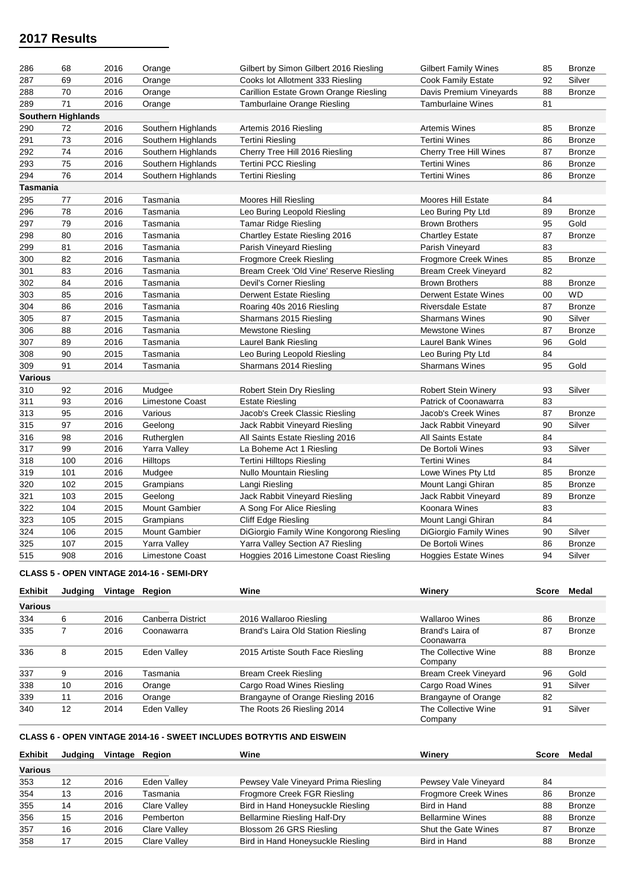| 286            | 68                        | 2016 | Orange                 | Gilbert by Simon Gilbert 2016 Riesling   | <b>Gilbert Family Wines</b>   | 85 | <b>Bronze</b> |
|----------------|---------------------------|------|------------------------|------------------------------------------|-------------------------------|----|---------------|
| 287            | 69                        | 2016 | Orange                 | Cooks lot Allotment 333 Riesling         | Cook Family Estate            | 92 | Silver        |
| 288            | 70                        | 2016 | Orange                 | Carillion Estate Grown Orange Riesling   | Davis Premium Vineyards       | 88 | <b>Bronze</b> |
| 289            | 71                        | 2016 | Orange                 | Tamburlaine Orange Riesling              | <b>Tamburlaine Wines</b>      | 81 |               |
|                | <b>Southern Highlands</b> |      |                        |                                          |                               |    |               |
| 290            | 72                        | 2016 | Southern Highlands     | Artemis 2016 Riesling                    | <b>Artemis Wines</b>          | 85 | <b>Bronze</b> |
| 291            | 73                        | 2016 | Southern Highlands     | <b>Tertini Riesling</b>                  | <b>Tertini Wines</b>          | 86 | <b>Bronze</b> |
| 292            | 74                        | 2016 | Southern Highlands     | Cherry Tree Hill 2016 Riesling           | Cherry Tree Hill Wines        | 87 | <b>Bronze</b> |
| 293            | 75                        | 2016 | Southern Highlands     | <b>Tertini PCC Riesling</b>              | <b>Tertini Wines</b>          | 86 | <b>Bronze</b> |
| 294            | 76                        | 2014 | Southern Highlands     | <b>Tertini Riesling</b>                  | <b>Tertini Wines</b>          | 86 | <b>Bronze</b> |
| Tasmania       |                           |      |                        |                                          |                               |    |               |
| 295            | 77                        | 2016 | Tasmania               | Moores Hill Riesling                     | <b>Moores Hill Estate</b>     | 84 |               |
| 296            | 78                        | 2016 | Tasmania               | Leo Buring Leopold Riesling              | Leo Buring Pty Ltd            | 89 | <b>Bronze</b> |
| 297            | 79                        | 2016 | Tasmania               | <b>Tamar Ridge Riesling</b>              | <b>Brown Brothers</b>         | 95 | Gold          |
| 298            | 80                        | 2016 | Tasmania               | Chartley Estate Riesling 2016            | <b>Chartley Estate</b>        | 87 | <b>Bronze</b> |
| 299            | 81                        | 2016 | Tasmania               | Parish Vineyard Riesling                 | Parish Vineyard               | 83 |               |
| 300            | 82                        | 2016 | Tasmania               | <b>Frogmore Creek Riesling</b>           | <b>Frogmore Creek Wines</b>   | 85 | <b>Bronze</b> |
| 301            | 83                        | 2016 | Tasmania               | Bream Creek 'Old Vine' Reserve Riesling  | Bream Creek Vineyard          | 82 |               |
| 302            | 84                        | 2016 | Tasmania               | Devil's Corner Riesling                  | <b>Brown Brothers</b>         | 88 | <b>Bronze</b> |
| 303            | 85                        | 2016 | Tasmania               | Derwent Estate Riesling                  | <b>Derwent Estate Wines</b>   | 00 | <b>WD</b>     |
| 304            | 86                        | 2016 | Tasmania               | Roaring 40s 2016 Riesling                | Riversdale Estate             | 87 | <b>Bronze</b> |
| 305            | 87                        | 2015 | Tasmania               | Sharmans 2015 Riesling                   | <b>Sharmans Wines</b>         | 90 | Silver        |
| 306            | 88                        | 2016 | Tasmania               | <b>Mewstone Riesling</b>                 | <b>Mewstone Wines</b>         | 87 | <b>Bronze</b> |
| 307            | 89                        | 2016 | Tasmania               | Laurel Bank Riesling                     | <b>Laurel Bank Wines</b>      | 96 | Gold          |
| 308            | 90                        | 2015 | Tasmania               | Leo Buring Leopold Riesling              | Leo Buring Pty Ltd            | 84 |               |
| 309            | 91                        | 2014 | Tasmania               | Sharmans 2014 Riesling                   | <b>Sharmans Wines</b>         | 95 | Gold          |
| <b>Various</b> |                           |      |                        |                                          |                               |    |               |
| 310            | 92                        | 2016 | Mudgee                 | Robert Stein Dry Riesling                | <b>Robert Stein Winery</b>    | 93 | Silver        |
| 311            | 93                        | 2016 | Limestone Coast        | <b>Estate Riesling</b>                   | Patrick of Coonawarra         | 83 |               |
| 313            | 95                        | 2016 | Various                | Jacob's Creek Classic Riesling           | Jacob's Creek Wines           | 87 | <b>Bronze</b> |
| 315            | 97                        | 2016 | Geelong                | Jack Rabbit Vineyard Riesling            | Jack Rabbit Vineyard          | 90 | Silver        |
| 316            | 98                        | 2016 | Rutherglen             | All Saints Estate Riesling 2016          | <b>All Saints Estate</b>      | 84 |               |
| 317            | 99                        | 2016 | Yarra Valley           | La Boheme Act 1 Riesling                 | De Bortoli Wines              | 93 | Silver        |
| 318            | 100                       | 2016 | Hilltops               | Tertini Hilltops Riesling                | <b>Tertini Wines</b>          | 84 |               |
| 319            | 101                       | 2016 | Mudgee                 | <b>Nullo Mountain Riesling</b>           | Lowe Wines Pty Ltd            | 85 | <b>Bronze</b> |
| 320            | 102                       | 2015 | Grampians              | Langi Riesling                           | Mount Langi Ghiran            | 85 | <b>Bronze</b> |
| 321            | 103                       | 2015 | Geelong                | Jack Rabbit Vineyard Riesling            | Jack Rabbit Vineyard          | 89 | <b>Bronze</b> |
| 322            | 104                       | 2015 | <b>Mount Gambier</b>   | A Song For Alice Riesling                | Koonara Wines                 | 83 |               |
| 323            | 105                       | 2015 | Grampians              | Cliff Edge Riesling                      | Mount Langi Ghiran            | 84 |               |
| 324            | 106                       | 2015 | <b>Mount Gambier</b>   | DiGiorgio Family Wine Kongorong Riesling | <b>DiGiorgio Family Wines</b> | 90 | Silver        |
| 325            | 107                       | 2015 | Yarra Valley           |                                          | De Bortoli Wines              | 86 |               |
|                |                           |      |                        | Yarra Valley Section A7 Riesling         |                               | 94 | Bronze        |
| 515            | 908                       | 2016 | <b>Limestone Coast</b> | Hoggies 2016 Limestone Coast Riesling    | <b>Hoggies Estate Wines</b>   |    | Silver        |

### **CLASS 5 - OPEN VINTAGE 2014-16 - SEMI-DRY**

| <b>Exhibit</b> | Judaina           | Vintage Region |                   | Wine                               | Winerv                         | Score | Medal         |
|----------------|-------------------|----------------|-------------------|------------------------------------|--------------------------------|-------|---------------|
| <b>Various</b> |                   |                |                   |                                    |                                |       |               |
| 334            | 6                 | 2016           | Canberra District | 2016 Wallaroo Riesling             | <b>Wallaroo Wines</b>          | 86    | Bronze        |
| 335            |                   | 2016           | Coonawarra        | Brand's Laira Old Station Riesling | Brand's Laira of<br>Coonawarra | 87    | <b>Bronze</b> |
| 336            | 8                 | 2015           | Eden Valley       | 2015 Artiste South Face Riesling   | The Collective Wine<br>Company | 88    | <b>Bronze</b> |
| 337            | 9                 | 2016           | Tasmania          | Bream Creek Riesling               | <b>Bream Creek Vineyard</b>    | 96    | Gold          |
| 338            | 10                | 2016           | Orange            | Cargo Road Wines Riesling          | Cargo Road Wines               | 91    | Silver        |
| 339            | 11                | 2016           | Orange            | Brangayne of Orange Riesling 2016  | Brangayne of Orange            | 82    |               |
| 340            | $12 \overline{ }$ | 2014           | Eden Valley       | The Roots 26 Riesling 2014         | The Collective Wine<br>Company | 91    | Silver        |

### **CLASS 6 - OPEN VINTAGE 2014-16 - SWEET INCLUDES BOTRYTIS AND EISWEIN**

| Judging |                                              | Wine                                | Winerv                      | <b>Score</b> | Medal         |
|---------|----------------------------------------------|-------------------------------------|-----------------------------|--------------|---------------|
|         |                                              |                                     |                             |              |               |
| 12      | Eden Valley                                  | Pewsey Vale Vineyard Prima Riesling | Pewsey Vale Vineyard        | 84           |               |
| 13      | Tasmania                                     | Frogmore Creek FGR Riesling         | <b>Frogmore Creek Wines</b> | 86           | <b>Bronze</b> |
| 14      | <b>Clare Valley</b>                          | Bird in Hand Honeysuckle Riesling   | Bird in Hand                | 88           | <b>Bronze</b> |
| 15      | Pemberton                                    | <b>Bellarmine Riesling Half-Dry</b> | <b>Bellarmine Wines</b>     | 88           | Bronze        |
| 16      | <b>Clare Valley</b>                          | Blossom 26 GRS Riesling             | <b>Shut the Gate Wines</b>  | 87           | <b>Bronze</b> |
| 17      | Clare Valley                                 | Bird in Hand Honeysuckle Riesling   | Bird in Hand                | 88           | Bronze        |
|         | 2016<br>2016<br>2016<br>2016<br>2016<br>2015 | Vintage Region                      |                             |              |               |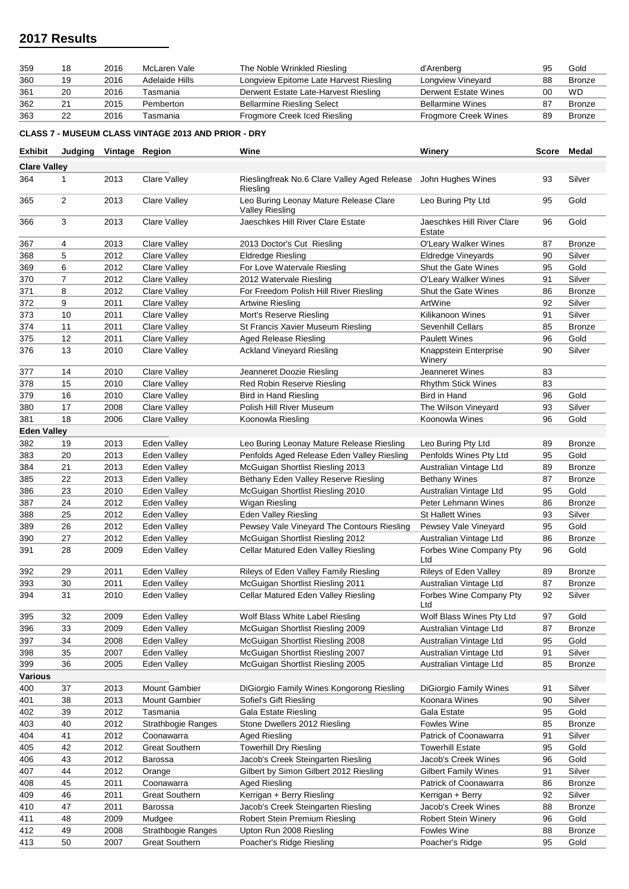| 359 | 18 | 2016 | McLaren Vale   | The Noble Wrinkled Riesling            | d'Arenberg                  |    | Gold          |
|-----|----|------|----------------|----------------------------------------|-----------------------------|----|---------------|
| 360 | 19 | 2016 | Adelaide Hills | Longview Epitome Late Harvest Riesling | Longview Vineyard           | 88 | Bronze        |
| 361 | 20 | 2016 | Tasmania       | Derwent Estate Late-Harvest Riesling   | Derwent Estate Wines        |    | <b>WD</b>     |
| 362 |    | 2015 | Pemberton      | <b>Bellarmine Riesling Select</b>      | <b>Bellarmine Wines</b>     |    | <b>Bronze</b> |
| 363 | 22 | 2016 | Tasmania       | Frogmore Creek Iced Riesling           | <b>Frogmore Creek Wines</b> |    | Bronze        |

**CLASS 7 - MUSEUM CLASS VINTAGE 2013 AND PRIOR - DRY**

| <b>Exhibit</b>      |                | Judging Vintage Region |                           | Wine                                                             | Winery                               |    | Score Medal   |
|---------------------|----------------|------------------------|---------------------------|------------------------------------------------------------------|--------------------------------------|----|---------------|
| <b>Clare Valley</b> |                |                        |                           |                                                                  |                                      |    |               |
| 364                 | 1              | 2013                   | Clare Valley              | Rieslingfreak No.6 Clare Valley Aged Release<br>Riesling         | John Hughes Wines                    | 93 | Silver        |
| 365                 | $\overline{c}$ | 2013                   | <b>Clare Valley</b>       | Leo Buring Leonay Mature Release Clare<br><b>Valley Riesling</b> | Leo Buring Pty Ltd                   | 95 | Gold          |
| 366                 | 3              | 2013                   | Clare Valley              | Jaeschkes Hill River Clare Estate                                | Jaeschkes Hill River Clare<br>Estate | 96 | Gold          |
| 367                 | 4              | 2013                   | Clare Valley              | 2013 Doctor's Cut Riesling                                       | O'Leary Walker Wines                 | 87 | <b>Bronze</b> |
| 368                 | 5              | 2012                   | Clare Valley              | <b>Eldredge Riesling</b>                                         | Eldredge Vineyards                   | 90 | Silver        |
| 369                 | 6              | 2012                   | Clare Valley              | For Love Watervale Riesling                                      | Shut the Gate Wines                  | 95 | Gold          |
| 370                 | $\overline{7}$ | 2012                   | Clare Valley              | 2012 Watervale Riesling                                          | O'Leary Walker Wines                 | 91 | Silver        |
| 371                 | 8              | 2012                   | Clare Valley              | For Freedom Polish Hill River Riesling                           | Shut the Gate Wines                  | 86 | <b>Bronze</b> |
| 372                 | 9              | 2011                   | Clare Valley              | Artwine Riesling                                                 | ArtWine                              | 92 | Silver        |
| 373                 | 10             | 2011                   | <b>Clare Valley</b>       | Mort's Reserve Riesling                                          | Kilikanoon Wines                     | 91 | Silver        |
| 374                 | 11             | 2011                   | Clare Valley              | St Francis Xavier Museum Riesling                                | <b>Sevenhill Cellars</b>             | 85 | <b>Bronze</b> |
| 375                 | 12             | 2011                   | <b>Clare Valley</b>       | <b>Aged Release Riesling</b>                                     | <b>Paulett Wines</b>                 | 96 | Gold          |
| 376                 | 13             | 2010                   | Clare Valley              | <b>Ackland Vineyard Riesling</b>                                 | Knappstein Enterprise<br>Winery      | 90 | Silver        |
| 377                 | 14             | 2010                   | Clare Valley              | Jeanneret Doozie Riesling                                        | <b>Jeanneret Wines</b>               | 83 |               |
| 378                 | 15             | 2010                   | Clare Valley              | Red Robin Reserve Riesling                                       | <b>Rhythm Stick Wines</b>            | 83 |               |
| 379                 | 16             | 2010                   | Clare Valley              | <b>Bird in Hand Riesling</b>                                     | Bird in Hand                         | 96 | Gold          |
| 380                 | 17             | 2008                   | Clare Valley              | Polish Hill River Museum                                         | The Wilson Vineyard                  | 93 | Silver        |
| 381                 | 18             | 2006                   | Clare Valley              | Koonowla Riesling                                                | Koonowla Wines                       | 96 | Gold          |
| <b>Eden Valley</b>  |                |                        |                           |                                                                  |                                      |    |               |
| 382                 | 19             | 2013                   | Eden Valley               | Leo Buring Leonay Mature Release Riesling                        | Leo Buring Pty Ltd                   | 89 | <b>Bronze</b> |
| 383                 | 20             | 2013                   | Eden Valley               | Penfolds Aged Release Eden Valley Riesling                       | Penfolds Wines Pty Ltd               | 95 | Gold          |
| 384                 | 21             | 2013                   | Eden Valley               | McGuigan Shortlist Riesling 2013                                 | Australian Vintage Ltd               | 89 | <b>Bronze</b> |
| 385                 | 22             | 2013                   | Eden Valley               | Bethany Eden Valley Reserve Riesling                             | <b>Bethany Wines</b>                 | 87 | <b>Bronze</b> |
| 386                 | 23             | 2010                   | Eden Valley               | McGuigan Shortlist Riesling 2010                                 | Australian Vintage Ltd               | 95 | Gold          |
| 387                 | 24             | 2012                   | Eden Valley               | Wigan Riesling                                                   | Peter Lehmann Wines                  | 86 | <b>Bronze</b> |
| 388                 | 25             | 2012                   | Eden Valley               | Eden Valley Riesling                                             | <b>St Hallett Wines</b>              | 93 | Silver        |
| 389                 | 26             | 2012                   | Eden Valley               | Pewsey Vale Vineyard The Contours Riesling                       | Pewsey Vale Vineyard                 | 95 | Gold          |
| 390                 | 27             | 2012                   | Eden Valley               | McGuigan Shortlist Riesling 2012                                 | Australian Vintage Ltd               | 86 | <b>Bronze</b> |
| 391                 | 28             | 2009                   | Eden Valley               | Cellar Matured Eden Valley Riesling                              | Forbes Wine Company Pty<br>Ltd       | 96 | Gold          |
| 392                 | 29             | 2011                   | Eden Valley               | Rileys of Eden Valley Family Riesling                            | Rileys of Eden Valley                | 89 | <b>Bronze</b> |
| 393                 | 30             | 2011                   | Eden Valley               | McGuigan Shortlist Riesling 2011                                 | Australian Vintage Ltd               | 87 | <b>Bronze</b> |
| 394                 | 31             | 2010                   | Eden Valley               | Cellar Matured Eden Valley Riesling                              | Forbes Wine Company Pty<br>Ltd       | 92 | Silver        |
| 395                 | 32             | 2009                   | Eden Valley               | Wolf Blass White Label Riesling                                  | Wolf Blass Wines Pty Ltd             | 97 | Gold          |
| 396                 | 33             | 2009                   | Eden Valley               | McGuigan Shortlist Riesling 2009                                 | Australian Vintage Ltd               | 87 | <b>Bronze</b> |
| 397                 | 34             | 2008                   | Eden Valley               | McGuigan Shortlist Riesling 2008                                 | Australian Vintage Ltd               | 95 | Gold          |
| 398                 | 35             | 2007                   | Eden Valley               | McGuigan Shortlist Riesling 2007                                 | Australian Vintage Ltd               | 91 | Silver        |
| 399                 | 36             | 2005                   | Eden Valley               | McGuigan Shortlist Riesling 2005                                 | Australian Vintage Ltd               | 85 | <b>Bronze</b> |
| Various             |                |                        |                           |                                                                  |                                      |    |               |
| 400                 | 37             | 2013                   | Mount Gambier             | DiGiorgio Family Wines Kongorong Riesling                        | DiGiorgio Family Wines               | 91 | Silver        |
| 401                 | 38             | 2013                   | <b>Mount Gambier</b>      | Sofiel's Gift Riesling                                           | Koonara Wines                        | 90 | Silver        |
| 402                 | 39             | 2012                   | Tasmania                  | <b>Gala Estate Riesling</b>                                      | Gala Estate                          | 95 | Gold          |
| 403                 | 40             | 2012                   | <b>Strathbogie Ranges</b> | Stone Dwellers 2012 Riesling                                     | <b>Fowles Wine</b>                   | 85 | <b>Bronze</b> |
| 404                 | 41             | 2012                   | Coonawarra                | Aged Riesling                                                    | Patrick of Coonawarra                | 91 | Silver        |
| 405                 | 42             | 2012                   | <b>Great Southern</b>     | <b>Towerhill Dry Riesling</b>                                    | <b>Towerhill Estate</b>              | 95 | Gold          |
| 406                 | 43             | 2012                   | Barossa                   | Jacob's Creek Steingarten Riesling                               | Jacob's Creek Wines                  | 96 | Gold          |
| 407                 | 44             | 2012                   | Orange                    | Gilbert by Simon Gilbert 2012 Riesling                           | <b>Gilbert Family Wines</b>          | 91 | Silver        |
| 408                 | 45             | 2011                   | Coonawarra                | Aged Riesling                                                    | Patrick of Coonawarra                | 86 | <b>Bronze</b> |
| 409                 | 46             | 2011                   | <b>Great Southern</b>     | Kerrigan + Berry Riesling                                        | Kerrigan + Berry                     | 92 | Silver        |
| 410                 | 47             | 2011                   | Barossa                   | Jacob's Creek Steingarten Riesling                               | Jacob's Creek Wines                  | 88 | <b>Bronze</b> |
| 411                 | 48             | 2009                   | Mudgee                    | Robert Stein Premium Riesling                                    | <b>Robert Stein Winery</b>           | 96 | Gold          |
| 412                 | 49             | 2008                   | Strathbogie Ranges        | Upton Run 2008 Riesling                                          | Fowles Wine                          | 88 | <b>Bronze</b> |
| 413                 | 50             | 2007                   | <b>Great Southern</b>     | Poacher's Ridge Riesling                                         | Poacher's Ridge                      | 95 | Gold          |
|                     |                |                        |                           |                                                                  |                                      |    |               |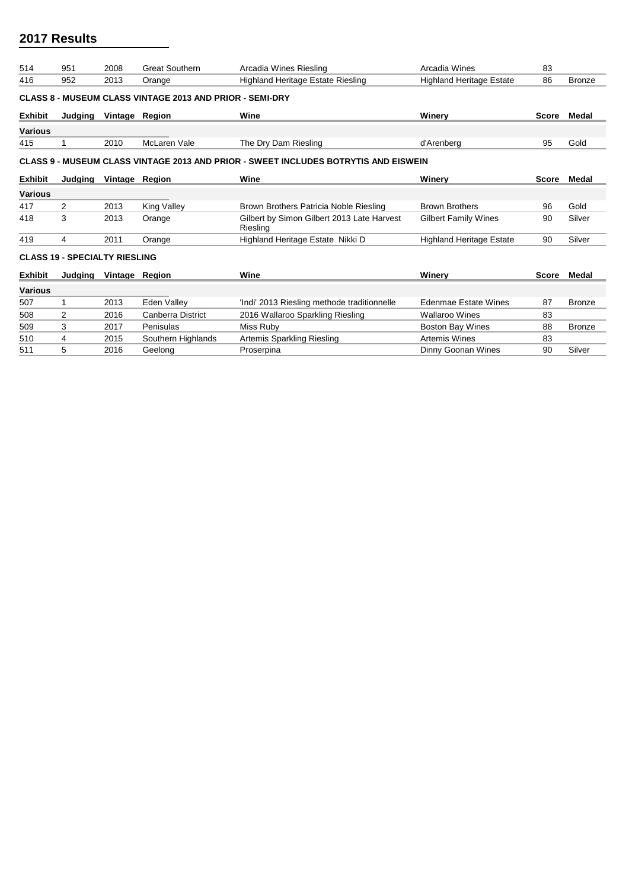| 514                                                                                 | 951                                  | 2008           | <b>Great Southern</b>                                           | Arcadia Wines Riesling                                 | Arcadia Wines                   | 83           |               |  |  |  |  |
|-------------------------------------------------------------------------------------|--------------------------------------|----------------|-----------------------------------------------------------------|--------------------------------------------------------|---------------------------------|--------------|---------------|--|--|--|--|
| 416                                                                                 | 952                                  | 2013           | Orange                                                          | <b>Highland Heritage Estate Riesling</b>               | <b>Highland Heritage Estate</b> | 86           | <b>Bronze</b> |  |  |  |  |
|                                                                                     |                                      |                | <b>CLASS 8 - MUSEUM CLASS VINTAGE 2013 AND PRIOR - SEMI-DRY</b> |                                                        |                                 |              |               |  |  |  |  |
| <b>Exhibit</b>                                                                      | Judging                              | Vintage Region |                                                                 | Wine                                                   | Winerv                          | <b>Score</b> | Medal         |  |  |  |  |
| <b>Various</b>                                                                      |                                      |                |                                                                 |                                                        |                                 |              |               |  |  |  |  |
| 415                                                                                 |                                      | 2010           | McLaren Vale                                                    | The Dry Dam Riesling                                   | d'Arenberg                      | 95           | Gold          |  |  |  |  |
| CLASS 9 - MUSEUM CLASS VINTAGE 2013 AND PRIOR - SWEET INCLUDES BOTRYTIS AND EISWEIN |                                      |                |                                                                 |                                                        |                                 |              |               |  |  |  |  |
| <b>Exhibit</b>                                                                      | Judaina                              | Vintage Region |                                                                 | Wine                                                   | Winerv                          | <b>Score</b> | Medal         |  |  |  |  |
| <b>Various</b>                                                                      |                                      |                |                                                                 |                                                        |                                 |              |               |  |  |  |  |
| 417                                                                                 | 2                                    | 2013           | <b>King Valley</b>                                              | Brown Brothers Patricia Noble Riesling                 | <b>Brown Brothers</b>           | 96           | Gold          |  |  |  |  |
| 418                                                                                 | 3                                    | 2013           | Orange                                                          | Gilbert by Simon Gilbert 2013 Late Harvest<br>Riesling | <b>Gilbert Family Wines</b>     | 90           | Silver        |  |  |  |  |
| 419                                                                                 | 4                                    | 2011           | Orange                                                          | Highland Heritage Estate Nikki D                       | <b>Highland Heritage Estate</b> | 90           | Silver        |  |  |  |  |
|                                                                                     | <b>CLASS 19 - SPECIALTY RIESLING</b> |                |                                                                 |                                                        |                                 |              |               |  |  |  |  |
| <b>Exhibit</b>                                                                      | Judging                              | Vintage Region |                                                                 | Wine                                                   | Winerv                          | Score        | Medal         |  |  |  |  |
| <b>Various</b>                                                                      |                                      |                |                                                                 |                                                        |                                 |              |               |  |  |  |  |
| 507                                                                                 |                                      | 2013           | Eden Valley                                                     | 'Indi' 2013 Riesling methode traditionnelle            | <b>Edenmae Estate Wines</b>     | 87           | <b>Bronze</b> |  |  |  |  |
| 508                                                                                 | 2                                    | 2016           | <b>Canberra District</b>                                        | 2016 Wallaroo Sparkling Riesling                       | <b>Wallaroo Wines</b>           | 83           |               |  |  |  |  |
| 509                                                                                 | 3                                    | 2017           | Penisulas                                                       | Miss Ruby                                              | Boston Bay Wines                | 88           | <b>Bronze</b> |  |  |  |  |
| 510                                                                                 |                                      |                |                                                                 | Artemis Sparkling Riesling                             | <b>Artemis Wines</b>            | 83           |               |  |  |  |  |
|                                                                                     | 4                                    | 2015           | Southern Highlands                                              |                                                        |                                 |              |               |  |  |  |  |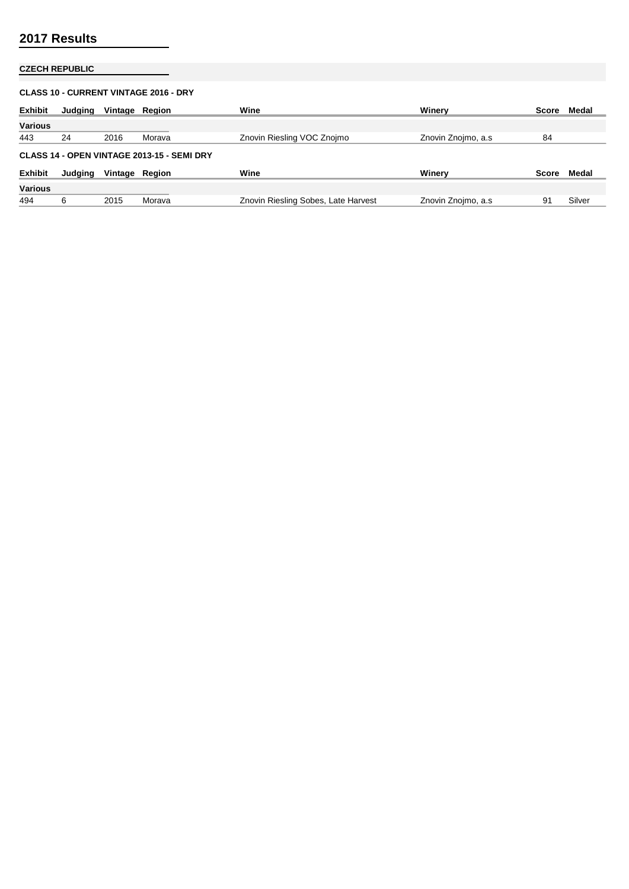## **CZECH REPUBLIC**

| <b>CLASS 10 - CURRENT VINTAGE 2016 - DRY</b> |                                            |                |        |                                     |                     |       |        |  |  |  |  |  |
|----------------------------------------------|--------------------------------------------|----------------|--------|-------------------------------------|---------------------|-------|--------|--|--|--|--|--|
| <b>Exhibit</b>                               | Judging                                    | Vintage Region |        | Wine                                | Winerv              | Score | Medal  |  |  |  |  |  |
| <b>Various</b>                               |                                            |                |        |                                     |                     |       |        |  |  |  |  |  |
| 443                                          | 24                                         | 2016           | Morava | Znovin Riesling VOC Znojmo          | Znovin Znojmo, a.s. | 84    |        |  |  |  |  |  |
|                                              | CLASS 14 - OPEN VINTAGE 2013-15 - SEMI DRY |                |        |                                     |                     |       |        |  |  |  |  |  |
| <b>Exhibit</b>                               | Judging                                    | Vintage Region |        | Wine                                | Winerv              | Score | Medal  |  |  |  |  |  |
| <b>Various</b>                               |                                            |                |        |                                     |                     |       |        |  |  |  |  |  |
| 494                                          | 6                                          | 2015           | Morava | Znovin Riesling Sobes, Late Harvest | Znovin Znojmo, a.s. | 91    | Silver |  |  |  |  |  |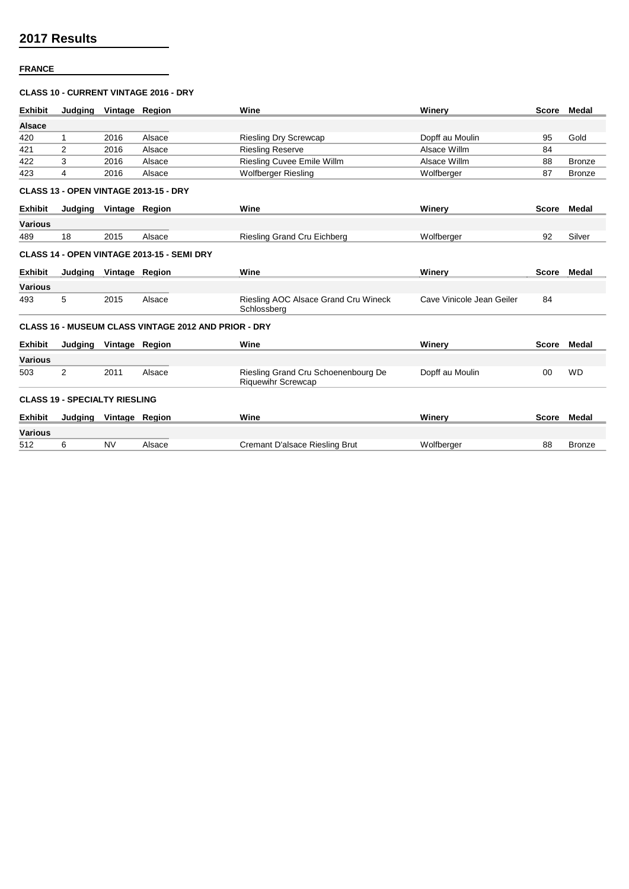### **FRANCE**

### **CLASS 10 - CURRENT VINTAGE 2016 - DRY**

| <b>Exhibit</b> | Judaina                              | Vintage Region |                                                             | Wine                                                             | Winerv                    |              | Score Medal   |
|----------------|--------------------------------------|----------------|-------------------------------------------------------------|------------------------------------------------------------------|---------------------------|--------------|---------------|
| <b>Alsace</b>  |                                      |                |                                                             |                                                                  |                           |              |               |
| 420            | 1                                    | 2016           | Alsace                                                      | <b>Riesling Dry Screwcap</b>                                     | Dopff au Moulin           | 95           | Gold          |
| 421            | 2                                    | 2016           | Alsace                                                      | <b>Riesling Reserve</b>                                          | Alsace Willm              | 84           |               |
| 422            | 3                                    | 2016           | Alsace                                                      | <b>Riesling Cuvee Emile Willm</b>                                | Alsace Willm              | 88           | <b>Bronze</b> |
| 423            | 4                                    | 2016           | Alsace                                                      | <b>Wolfberger Riesling</b>                                       | Wolfberger                | 87           | <b>Bronze</b> |
|                |                                      |                | <b>CLASS 13 - OPEN VINTAGE 2013-15 - DRY</b>                |                                                                  |                           |              |               |
| <b>Exhibit</b> | Judging                              | Vintage Region |                                                             | Wine                                                             | Winery                    | <b>Score</b> | <b>Medal</b>  |
| <b>Various</b> |                                      |                |                                                             |                                                                  |                           |              |               |
| 489            | 18                                   | 2015           | Alsace                                                      | Riesling Grand Cru Eichberg                                      | Wolfberger                | 92           | Silver        |
|                |                                      |                | CLASS 14 - OPEN VINTAGE 2013-15 - SEMI DRY                  |                                                                  |                           |              |               |
| <b>Exhibit</b> | Judging                              | Vintage Region |                                                             | Wine                                                             | Winery                    | <b>Score</b> | Medal         |
| <b>Various</b> |                                      |                |                                                             |                                                                  |                           |              |               |
| 493            | 5                                    | 2015           | Alsace                                                      | Riesling AOC Alsace Grand Cru Wineck<br>Schlossberg              | Cave Vinicole Jean Geiler | 84           |               |
|                |                                      |                | <b>CLASS 16 - MUSEUM CLASS VINTAGE 2012 AND PRIOR - DRY</b> |                                                                  |                           |              |               |
| <b>Exhibit</b> | Judging                              | Vintage Region |                                                             | Wine                                                             | Winery                    | <b>Score</b> | Medal         |
| <b>Various</b> |                                      |                |                                                             |                                                                  |                           |              |               |
| 503            | 2                                    | 2011           | Alsace                                                      | Riesling Grand Cru Schoenenbourg De<br><b>Riquewihr Screwcap</b> | Dopff au Moulin           | 00           | <b>WD</b>     |
|                | <b>CLASS 19 - SPECIALTY RIESLING</b> |                |                                                             |                                                                  |                           |              |               |
| <b>Exhibit</b> | Judging Vintage Region               |                |                                                             | Wine                                                             | Winery                    |              | Score Medal   |
| <b>Various</b> |                                      |                |                                                             |                                                                  |                           |              |               |
| 512            | 6                                    | <b>NV</b>      | Alsace                                                      | Cremant D'alsace Riesling Brut                                   | Wolfberger                | 88           | <b>Bronze</b> |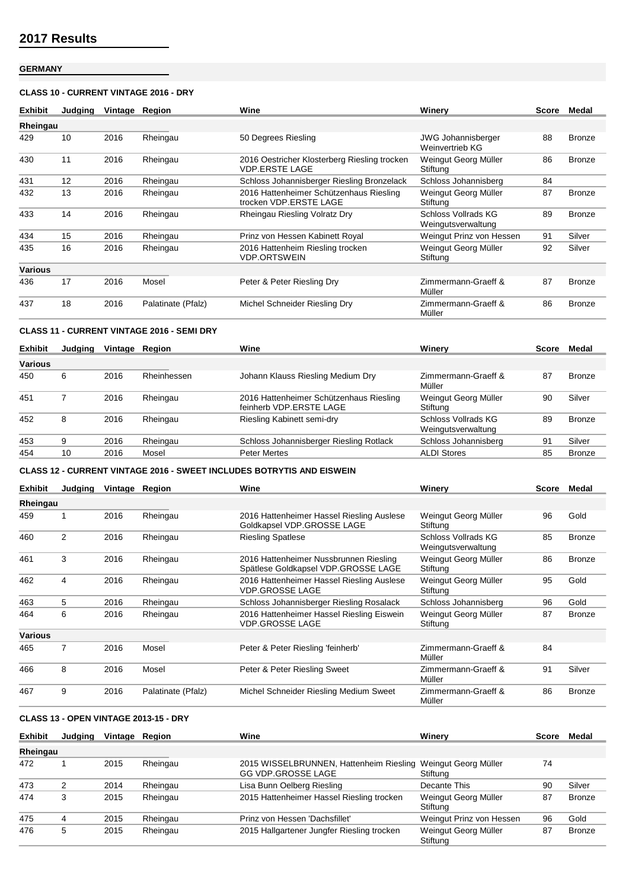# **GERMANY**

### **CLASS 10 - CURRENT VINTAGE 2016 - DRY**

| <b>Exhibit</b> | Judaina | Vintage | Region             | Wine                                                                  | Winerv                                       | <b>Score</b> | Medal         |
|----------------|---------|---------|--------------------|-----------------------------------------------------------------------|----------------------------------------------|--------------|---------------|
| Rheingau       |         |         |                    |                                                                       |                                              |              |               |
| 429            | 10      | 2016    | Rheingau           | 50 Degrees Riesling                                                   | <b>JWG Johannisberger</b><br>Weinvertrieb KG | 88           | <b>Bronze</b> |
| 430            | 11      | 2016    | Rheingau           | 2016 Oestricher Klosterberg Riesling trocken<br><b>VDP.ERSTE LAGE</b> | Weingut Georg Müller<br>Stiftung             | 86           | <b>Bronze</b> |
| 431            | 12      | 2016    | Rheingau           | Schloss Johannisberger Riesling Bronzelack                            | Schloss Johannisberg                         | 84           |               |
| 432            | 13      | 2016    | Rheingau           | 2016 Hattenheimer Schützenhaus Riesling<br>trocken VDP.ERSTE LAGE     | Weingut Georg Müller<br>Stiftung             | 87           | <b>Bronze</b> |
| 433            | 14      | 2016    | Rheingau           | Rheingau Riesling Volratz Dry                                         | Schloss Vollrads KG<br>Weingutsverwaltung    | 89           | <b>Bronze</b> |
| 434            | 15      | 2016    | Rheingau           | Prinz von Hessen Kabinett Royal                                       | Weingut Prinz von Hessen                     | 91           | Silver        |
| 435            | 16      | 2016    | Rheingau           | 2016 Hattenheim Riesling trocken<br><b>VDP.ORTSWEIN</b>               | Weingut Georg Müller<br>Stiftung             | 92           | Silver        |
| <b>Various</b> |         |         |                    |                                                                       |                                              |              |               |
| 436            | 17      | 2016    | Mosel              | Peter & Peter Riesling Dry                                            | Zimmermann-Graeff &<br>Müller                | 87           | <b>Bronze</b> |
| 437            | 18      | 2016    | Palatinate (Pfalz) | Michel Schneider Riesling Dry                                         | Zimmermann-Graeff &<br>Müller                | 86           | Bronze        |

### **CLASS 11 - CURRENT VINTAGE 2016 - SEMI DRY**

| <b>Exhibit</b> | Judaina | Vintage | Reaion      | Wine                                                               | Winerv                                    | <b>Score</b> | Medal         |
|----------------|---------|---------|-------------|--------------------------------------------------------------------|-------------------------------------------|--------------|---------------|
| <b>Various</b> |         |         |             |                                                                    |                                           |              |               |
| 450            | 6       | 2016    | Rheinhessen | Johann Klauss Riesling Medium Dry                                  | Zimmermann-Graeff &<br>Müller             | 87           | <b>Bronze</b> |
| 451            |         | 2016    | Rheingau    | 2016 Hattenheimer Schützenhaus Riesling<br>feinherb VDP.ERSTE LAGE | Weingut Georg Müller<br>Stiftung          | 90           | Silver        |
| 452            | 8       | 2016    | Rheingau    | Riesling Kabinett semi-dry                                         | Schloss Vollrads KG<br>Weingutsverwaltung | 89           | <b>Bronze</b> |
| 453            | 9       | 2016    | Rheingau    | Schloss Johannisberger Riesling Rotlack                            | Schloss Johannisberg                      | 91           | Silver        |
| 454            | 10      | 2016    | Mosel       | <b>Peter Mertes</b>                                                | <b>ALDI Stores</b>                        | 85           | <b>Bronze</b> |

### **CLASS 12 - CURRENT VINTAGE 2016 - SWEET INCLUDES BOTRYTIS AND EISWEIN**

| <b>Exhibit</b> | Judging        | Vintage Region |                    | Wine                                                                          | Winerv                                    | <b>Score</b> | Medal         |
|----------------|----------------|----------------|--------------------|-------------------------------------------------------------------------------|-------------------------------------------|--------------|---------------|
| Rheingau       |                |                |                    |                                                                               |                                           |              |               |
| 459            |                | 2016           | Rheingau           | 2016 Hattenheimer Hassel Riesling Auslese<br>Goldkapsel VDP.GROSSE LAGE       | Weingut Georg Müller<br>Stiftung          | 96           | Gold          |
| 460            | $\overline{2}$ | 2016           | Rheingau           | <b>Riesling Spatlese</b>                                                      | Schloss Vollrads KG<br>Weingutsverwaltung | 85           | <b>Bronze</b> |
| 461            | 3              | 2016           | Rheingau           | 2016 Hattenheimer Nussbrunnen Riesling<br>Spätlese Goldkapsel VDP.GROSSE LAGE | Weingut Georg Müller<br>Stiftung          | 86           | <b>Bronze</b> |
| 462            | 4              | 2016           | Rheingau           | 2016 Hattenheimer Hassel Riesling Auslese<br><b>VDP.GROSSE LAGE</b>           | Weingut Georg Müller<br>Stiftung          | 95           | Gold          |
| 463            | 5              | 2016           | Rheingau           | Schloss Johannisberger Riesling Rosalack                                      | Schloss Johannisberg                      | 96           | Gold          |
| 464            | 6              | 2016           | Rheingau           | 2016 Hattenheimer Hassel Riesling Eiswein<br>VDP.GROSSE LAGE                  | Weingut Georg Müller<br>Stiftung          | 87           | <b>Bronze</b> |
| <b>Various</b> |                |                |                    |                                                                               |                                           |              |               |
| 465            |                | 2016           | Mosel              | Peter & Peter Riesling 'feinherb'                                             | Zimmermann-Graeff &<br>Müller             | 84           |               |
| 466            | 8              | 2016           | Mosel              | Peter & Peter Riesling Sweet                                                  | Zimmermann-Graeff &<br>Müller             | 91           | Silver        |
| 467            | 9              | 2016           | Palatinate (Pfalz) | Michel Schneider Riesling Medium Sweet                                        | Zimmermann-Graeff &<br>Müller             | 86           | <b>Bronze</b> |

## **CLASS 13 - OPEN VINTAGE 2013-15 - DRY**

| <b>Exhibit</b> | Judging | Vintage | Reaion   | Wine                                                                                      | Winerv                           | Score | Medal         |
|----------------|---------|---------|----------|-------------------------------------------------------------------------------------------|----------------------------------|-------|---------------|
| Rheingau       |         |         |          |                                                                                           |                                  |       |               |
| 472            |         | 2015    | Rheingau | 2015 WISSELBRUNNEN, Hattenheim Riesling Weingut Georg Müller<br><b>GG VDP.GROSSE LAGE</b> | Stiftung                         | 74    |               |
| 473            |         | 2014    | Rheingau | Lisa Bunn Oelberg Riesling                                                                | Decante This                     | 90    | Silver        |
| 474            |         | 2015    | Rheingau | 2015 Hattenheimer Hassel Riesling trocken                                                 | Weingut Georg Müller<br>Stiftung | 87    | <b>Bronze</b> |
| 475            | 4       | 2015    | Rheingau | Prinz von Hessen 'Dachsfillet'                                                            | Weingut Prinz von Hessen         | 96    | Gold          |
| 476            | 5       | 2015    | Rheingau | 2015 Hallgartener Jungfer Riesling trocken                                                | Weingut Georg Müller<br>Stiftung | 87    | <b>Bronze</b> |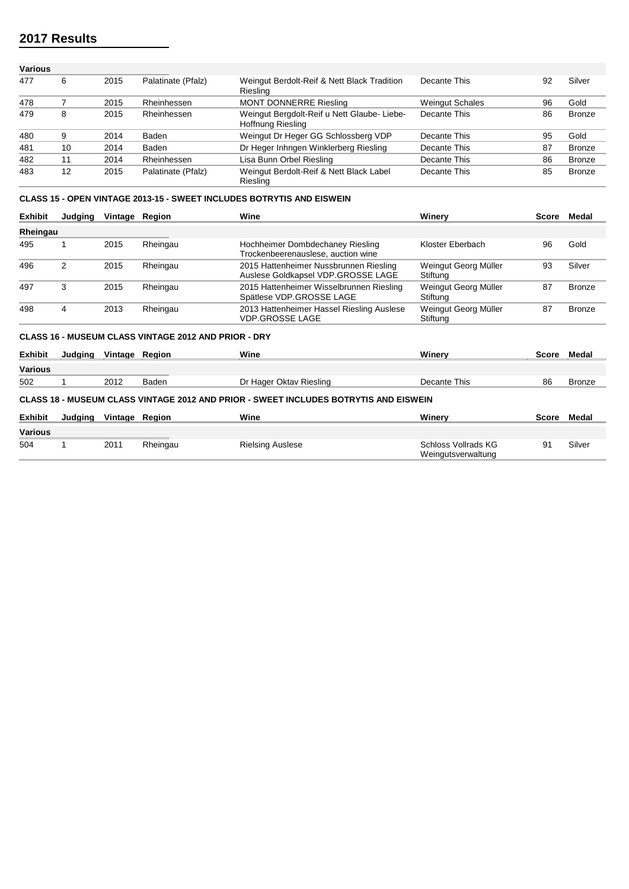| Various |    |      |                    |                                                                 |                        |    |               |
|---------|----|------|--------------------|-----------------------------------------------------------------|------------------------|----|---------------|
| 477     | 6  | 2015 | Palatinate (Pfalz) | Weingut Berdolt-Reif & Nett Black Tradition<br>Riesling         | Decante This           | 92 | Silver        |
| 478     |    | 2015 | Rheinhessen        | <b>MONT DONNERRE Riesling</b>                                   | <b>Weingut Schales</b> | 96 | Gold          |
| 479     | 8  | 2015 | Rheinhessen        | Weingut Bergdolt-Reif u Nett Glaube-Liebe-<br>Hoffnung Riesling | Decante This           | 86 | <b>Bronze</b> |
| 480     | 9  | 2014 | Baden              | Weingut Dr Heger GG Schlossberg VDP                             | Decante This           | 95 | Gold          |
| 481     | 10 | 2014 | Baden              | Dr Heger Inhngen Winklerberg Riesling                           | Decante This           | 87 | <b>Bronze</b> |
| 482     | 11 | 2014 | Rheinhessen        | Lisa Bunn Orbel Riesling                                        | Decante This           | 86 | <b>Bronze</b> |
| 483     | 12 | 2015 | Palatinate (Pfalz) | Weingut Berdolt-Reif & Nett Black Label<br>Riesling             | Decante This           | 85 | <b>Bronze</b> |

### **CLASS 15 - OPEN VINTAGE 2013-15 - SWEET INCLUDES BOTRYTIS AND EISWEIN**

| <b>Exhibit</b> | Judging                                                     | Vintage Region |          | Wine                                                                         | Winerv                           | Score | Medal         |  |  |  |
|----------------|-------------------------------------------------------------|----------------|----------|------------------------------------------------------------------------------|----------------------------------|-------|---------------|--|--|--|
| Rheingau       |                                                             |                |          |                                                                              |                                  |       |               |  |  |  |
| 495            |                                                             | 2015           | Rheingau | Hochheimer Dombdechaney Riesling<br>Trockenbeerenauslese, auction wine       | Kloster Eberbach                 | 96    | Gold          |  |  |  |
| 496            | 2                                                           | 2015           | Rheingau | 2015 Hattenheimer Nussbrunnen Riesling<br>Auslese Goldkapsel VDP.GROSSE LAGE | Weingut Georg Müller<br>Stiftung | 93    | Silver        |  |  |  |
| 497            | 3                                                           | 2015           | Rheingau | 2015 Hattenheimer Wisselbrunnen Riesling<br>Spätlese VDP.GROSSE LAGE         | Weingut Georg Müller<br>Stiftung | 87    | <b>Bronze</b> |  |  |  |
| 498            | 4                                                           | 2013           | Rheingau | 2013 Hattenheimer Hassel Riesling Auslese<br><b>VDP.GROSSE LAGE</b>          | Weingut Georg Müller<br>Stiftung | 87    | <b>Bronze</b> |  |  |  |
|                | <b>CLASS 16 - MUSEUM CLASS VINTAGE 2012 AND PRIOR - DRY</b> |                |          |                                                                              |                                  |       |               |  |  |  |

| <b>Exhibit</b> | Judaina                                                                              | Vintage Region |          | Wine                    | Winerv              | <b>Score</b> | Medal         |  |  |  |  |
|----------------|--------------------------------------------------------------------------------------|----------------|----------|-------------------------|---------------------|--------------|---------------|--|--|--|--|
| <b>Various</b> |                                                                                      |                |          |                         |                     |              |               |  |  |  |  |
| 502            |                                                                                      | 2012           | Baden    | Dr Hager Oktav Riesling | Decante This        | 86           | <b>Bronze</b> |  |  |  |  |
|                | CLASS 18 - MUSEUM CLASS VINTAGE 2012 AND PRIOR - SWEET INCLUDES BOTRYTIS AND EISWEIN |                |          |                         |                     |              |               |  |  |  |  |
| <b>Exhibit</b> | Judaina                                                                              | Vintage Region |          | Wine                    | Winerv              | Score        | Medal         |  |  |  |  |
| Various        |                                                                                      |                |          |                         |                     |              |               |  |  |  |  |
| 504            |                                                                                      | 2011           | Rheingau | <b>Rielsing Auslese</b> | Schloss Vollrads KG |              | Silver        |  |  |  |  |

Weingutsverwaltung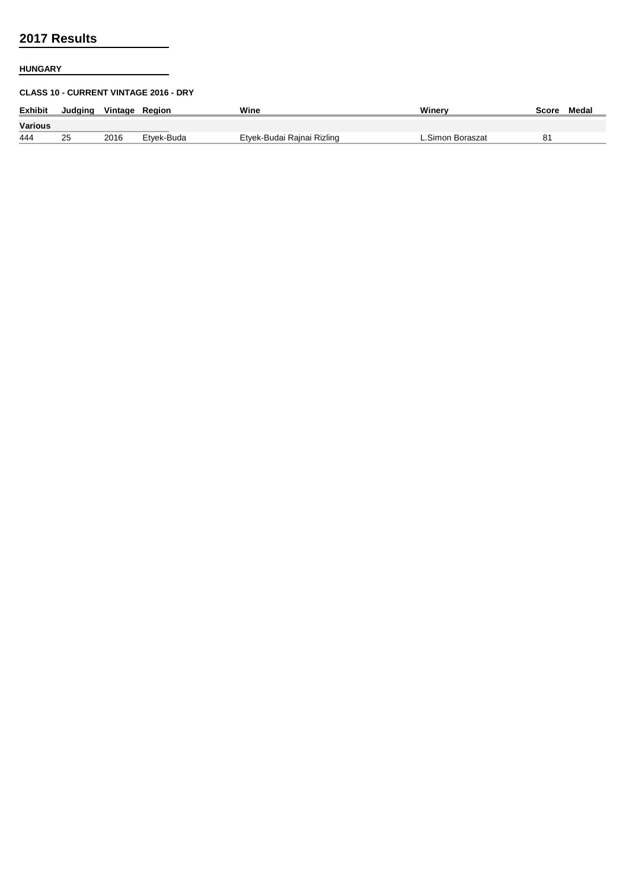## **HUNGARY**

### **CLASS 10 - CURRENT VINTAGE 2016 - DRY**

| <b>Exhibit</b> | Judging | Vintage Region |            | Wine                       | Winerv           | Score | Medal |
|----------------|---------|----------------|------------|----------------------------|------------------|-------|-------|
| Various        |         |                |            |                            |                  |       |       |
| 444            | 25      | 2016           | Etvek-Buda | Etyek-Budai Rajnai Rizling | L.Simon Boraszat | 81    |       |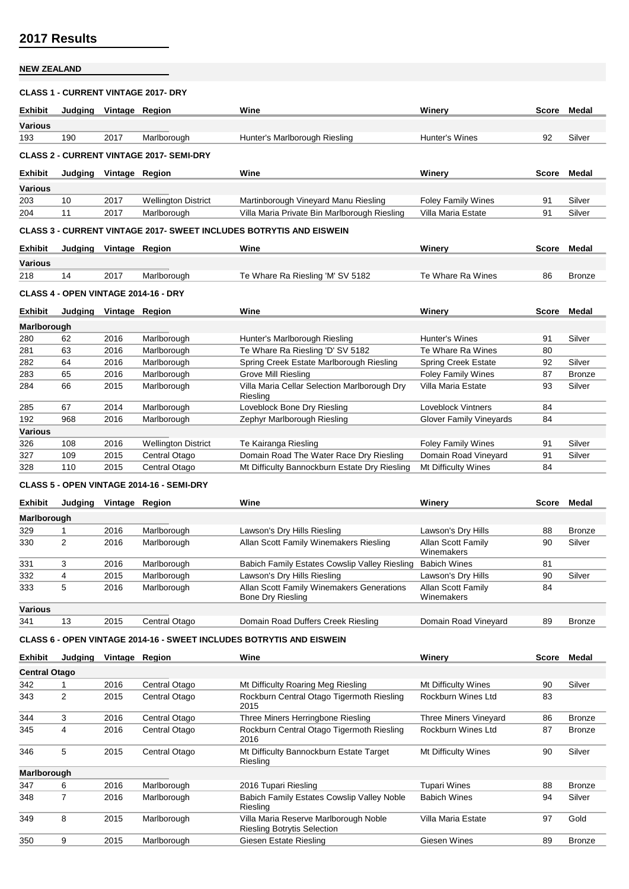### **NEW ZEALAND**

#### **CLASS 1 - CURRENT VINTAGE 2017- DRY**

| <b>Exhibit</b>                                  | Judging                                                                    | Vintage Region |                            | Wine                                         | Winerv                    | <b>Score</b> | Medal  |  |  |  |  |
|-------------------------------------------------|----------------------------------------------------------------------------|----------------|----------------------------|----------------------------------------------|---------------------------|--------------|--------|--|--|--|--|
| <b>Various</b>                                  |                                                                            |                |                            |                                              |                           |              |        |  |  |  |  |
| 193                                             | 190                                                                        | 2017           | Marlborough                | Hunter's Marlborough Riesling                | Hunter's Wines            | 92           | Silver |  |  |  |  |
| <b>CLASS 2 - CURRENT VINTAGE 2017- SEMI-DRY</b> |                                                                            |                |                            |                                              |                           |              |        |  |  |  |  |
| <b>Exhibit</b>                                  | Judaina                                                                    | Vintage Region |                            | Wine                                         | Winerv                    | <b>Score</b> | Medal  |  |  |  |  |
| <b>Various</b>                                  |                                                                            |                |                            |                                              |                           |              |        |  |  |  |  |
| 203                                             | 10                                                                         | 2017           | <b>Wellington District</b> | Martinborough Vineyard Manu Riesling         | <b>Foley Family Wines</b> | 91           | Silver |  |  |  |  |
| 204                                             | 11                                                                         | 2017           | Marlborough                | Villa Maria Private Bin Marlborough Riesling | Villa Maria Estate        | 91           | Silver |  |  |  |  |
|                                                 | <b>CLASS 3 - CURRENT VINTAGE 2017- SWEET INCLUDES BOTRYTIS AND EISWEIN</b> |                |                            |                                              |                           |              |        |  |  |  |  |
| <b>Exhibit</b>                                  | Judaina                                                                    | Vintage Region |                            | Wine                                         | Winerv                    | Score        | Medal  |  |  |  |  |

**Various**

218 14 2017 Marlborough Te Whare Ra Riesling 'M' SV 5182 Te Whare Ra Wines 86 Bronze

#### **CLASS 4 - OPEN VINTAGE 2014-16 - DRY**

| <b>Exhibit</b> | Judging | Vintage | Reaion                     | Wine                                                     | Winerv                     | Score | Medal         |
|----------------|---------|---------|----------------------------|----------------------------------------------------------|----------------------------|-------|---------------|
| Marlborough    |         |         |                            |                                                          |                            |       |               |
| 280            | 62      | 2016    | Marlborough                | Hunter's Marlborough Riesling                            | Hunter's Wines             | 91    | Silver        |
| 281            | 63      | 2016    | Marlborough                | Te Whare Ra Riesling 'D' SV 5182                         | Te Whare Ra Wines          | 80    |               |
| 282            | 64      | 2016    | Marlborough                | Spring Creek Estate Marlborough Riesling                 | <b>Spring Creek Estate</b> | 92    | Silver        |
| 283            | 65      | 2016    | Marlborough                | Grove Mill Riesling                                      | <b>Foley Family Wines</b>  | 87    | <b>Bronze</b> |
| 284            | 66      | 2015    | Marlborough                | Villa Maria Cellar Selection Marlborough Dry<br>Riesling | Villa Maria Estate         | 93    | Silver        |
| 285            | 67      | 2014    | Marlborough                | Loveblock Bone Dry Riesling                              | Loveblock Vintners         | 84    |               |
| 192            | 968     | 2016    | Marlborough                | Zephyr Marlborough Riesling                              | Glover Family Vineyards    | 84    |               |
| <b>Various</b> |         |         |                            |                                                          |                            |       |               |
| 326            | 108     | 2016    | <b>Wellington District</b> | Te Kairanga Riesling                                     | <b>Foley Family Wines</b>  | 91    | Silver        |
| 327            | 109     | 2015    | Central Otago              | Domain Road The Water Race Dry Riesling                  | Domain Road Vineyard       | 91    | Silver        |
| 328            | 110     | 2015    | Central Otago              | Mt Difficulty Bannockburn Estate Dry Riesling            | Mt Difficulty Wines        | 84    |               |

## **CLASS 5 - OPEN VINTAGE 2014-16 - SEMI-DRY**

| <b>Exhibit</b> | Judaina | Vintage | Reaion        | Wine                                                           | Winerv                           | Score | Medal         |
|----------------|---------|---------|---------------|----------------------------------------------------------------|----------------------------------|-------|---------------|
| Marlborough    |         |         |               |                                                                |                                  |       |               |
| 329            |         | 2016    | Marlborough   | Lawson's Dry Hills Riesling                                    | Lawson's Dry Hills               | 88    | Bronze        |
| 330            | 2       | 2016    | Marlborough   | Allan Scott Family Winemakers Riesling                         | Allan Scott Family<br>Winemakers | 90    | Silver        |
| 331            | 3       | 2016    | Marlborough   | Babich Family Estates Cowslip Valley Riesling                  | <b>Babich Wines</b>              | 81    |               |
| 332            | 4       | 2015    | Marlborough   | Lawson's Dry Hills Riesling                                    | Lawson's Dry Hills               | 90    | Silver        |
| 333            | 5       | 2016    | Marlborough   | Allan Scott Family Winemakers Generations<br>Bone Dry Riesling | Allan Scott Family<br>Winemakers | 84    |               |
| <b>Various</b> |         |         |               |                                                                |                                  |       |               |
| 341            | 13      | 2015    | Central Otago | Domain Road Duffers Creek Riesling                             | Domain Road Vineyard             | 89    | <b>Bronze</b> |

#### **CLASS 6 - OPEN VINTAGE 2014-16 - SWEET INCLUDES BOTRYTIS AND EISWEIN**

| <b>Exhibit</b>       | Judaina        | Vintage | Reaion        | Wine                                                                        | Winerv                    | Score | Medal         |
|----------------------|----------------|---------|---------------|-----------------------------------------------------------------------------|---------------------------|-------|---------------|
| <b>Central Otago</b> |                |         |               |                                                                             |                           |       |               |
| 342                  |                | 2016    | Central Otago | Mt Difficulty Roaring Meg Riesling                                          | Mt Difficulty Wines       | 90    | Silver        |
| 343                  | $\overline{2}$ | 2015    | Central Otago | Rockburn Central Otago Tigermoth Riesling<br>2015                           | Rockburn Wines Ltd        | 83    |               |
| 344                  | 3              | 2016    | Central Otago | Three Miners Herringbone Riesling                                           | Three Miners Vinevard     | 86    | <b>Bronze</b> |
| 345                  | 4              | 2016    | Central Otago | Rockburn Central Otago Tigermoth Riesling<br>2016                           | <b>Rockburn Wines Ltd</b> | 87    | <b>Bronze</b> |
| 346                  | 5              | 2015    | Central Otago | Mt Difficulty Bannockburn Estate Target<br>Riesling                         | Mt Difficulty Wines       | 90    | Silver        |
| Marlborough          |                |         |               |                                                                             |                           |       |               |
| 347                  | 6              | 2016    | Marlborough   | 2016 Tupari Riesling                                                        | <b>Tupari Wines</b>       | 88    | <b>Bronze</b> |
| 348                  |                | 2016    | Marlborough   | Babich Family Estates Cowslip Valley Noble<br>Riesling                      | <b>Babich Wines</b>       | 94    | Silver        |
| 349                  | 8              | 2015    | Marlborough   | Villa Maria Reserve Marlborough Noble<br><b>Riesling Botrytis Selection</b> | Villa Maria Estate        | 97    | Gold          |
| 350                  | 9              | 2015    | Marlborough   | Giesen Estate Riesling                                                      | Giesen Wines              | 89    | <b>Bronze</b> |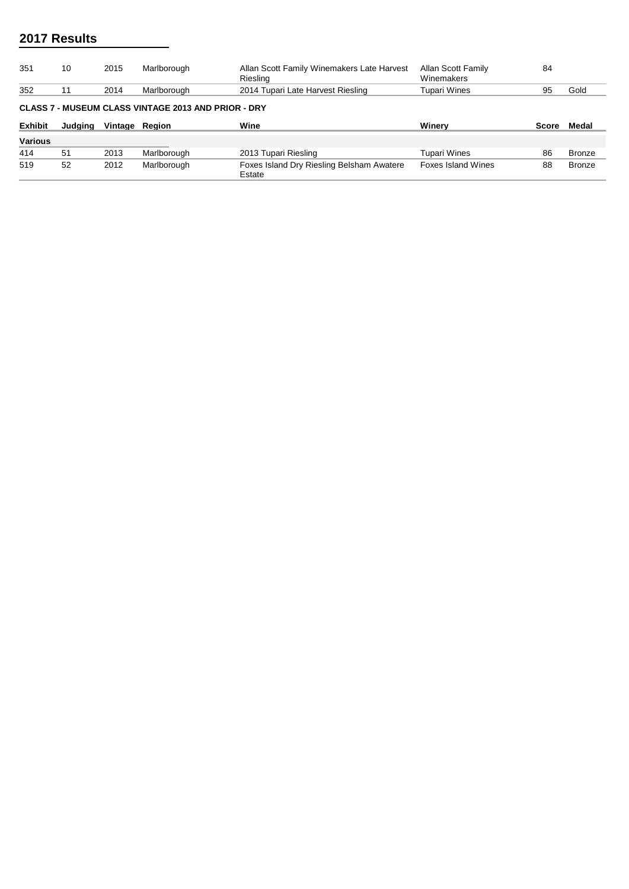| 351            | 10                                                         | 2015    | Marlborough | Allan Scott Family Winemakers Late Harvest<br>Riesling | Allan Scott Family<br>Winemakers | 84           |               |  |  |  |  |  |
|----------------|------------------------------------------------------------|---------|-------------|--------------------------------------------------------|----------------------------------|--------------|---------------|--|--|--|--|--|
| 352            | 11                                                         | 2014    | Marlborough | 2014 Tupari Late Harvest Riesling                      | Tupari Wines                     | 95           | Gold          |  |  |  |  |  |
|                | <b>CLASS 7 - MUSEUM CLASS VINTAGE 2013 AND PRIOR - DRY</b> |         |             |                                                        |                                  |              |               |  |  |  |  |  |
|                |                                                            |         |             |                                                        |                                  |              |               |  |  |  |  |  |
| <b>Exhibit</b> | Judging                                                    | Vintage | Reaion      | Wine                                                   | Winerv                           | <b>Score</b> | Medal         |  |  |  |  |  |
| <b>Various</b> |                                                            |         |             |                                                        |                                  |              |               |  |  |  |  |  |
| 414            | 51                                                         | 2013    | Marlborough | 2013 Tupari Riesling                                   | Tupari Wines                     | 86           | <b>Bronze</b> |  |  |  |  |  |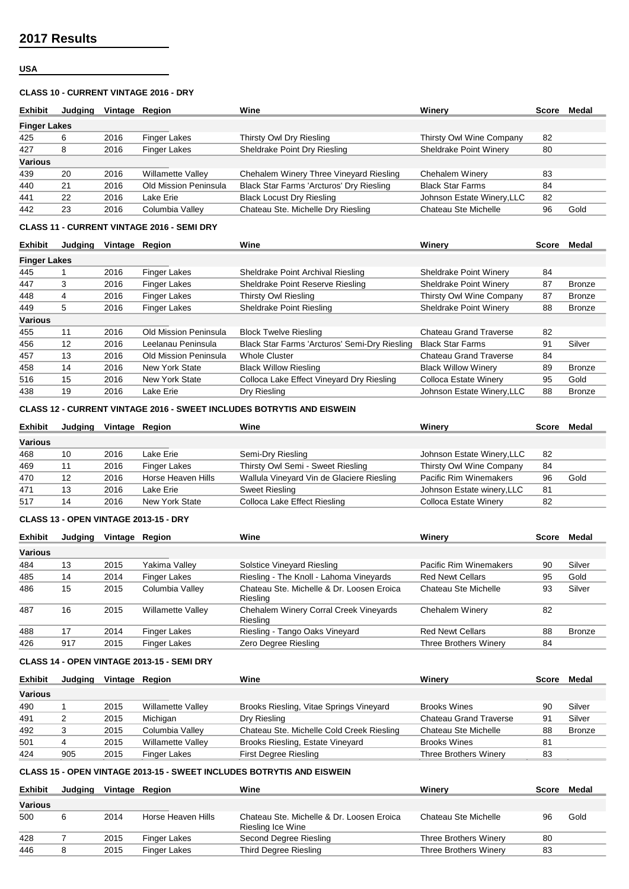### **USA**

#### **CLASS 10 - CURRENT VINTAGE 2016 - DRY**

| <b>Exhibit</b>      | Judaina | Vintage Region |                       | Wine                                     | Winerv                     | Score | Medal |
|---------------------|---------|----------------|-----------------------|------------------------------------------|----------------------------|-------|-------|
| <b>Finger Lakes</b> |         |                |                       |                                          |                            |       |       |
| 425                 | 6       | 2016           | Finger Lakes          | Thirsty Owl Dry Riesling                 | Thirsty Owl Wine Company   | 82    |       |
| 427                 | 8       | 2016           | <b>Finger Lakes</b>   | Sheldrake Point Dry Riesling             | Sheldrake Point Winery     | 80    |       |
| <b>Various</b>      |         |                |                       |                                          |                            |       |       |
| 439                 | 20      | 2016           | Willamette Valley     | Chehalem Winery Three Vineyard Riesling  | Chehalem Winery            | 83    |       |
| 440                 | 21      | 2016           | Old Mission Peninsula | Black Star Farms 'Arcturos' Dry Riesling | <b>Black Star Farms</b>    | 84    |       |
| 441                 | 22      | 2016           | Lake Erie             | <b>Black Locust Dry Riesling</b>         | Johnson Estate Winery, LLC | 82    |       |
| 442                 | 23      | 2016           | Columbia Valley       | Chateau Ste. Michelle Dry Riesling       | Chateau Ste Michelle       | 96    | Gold  |

## **CLASS 11 - CURRENT VINTAGE 2016 - SEMI DRY**

| <b>Exhibit</b>      | Judging | Vintage | Reaion                | Wine                                          | Winerv                        | Score | Medal         |
|---------------------|---------|---------|-----------------------|-----------------------------------------------|-------------------------------|-------|---------------|
| <b>Finger Lakes</b> |         |         |                       |                                               |                               |       |               |
| 445                 |         | 2016    | <b>Finger Lakes</b>   | Sheldrake Point Archival Riesling             | <b>Sheldrake Point Winery</b> | 84    |               |
| 447                 | 3       | 2016    | <b>Finger Lakes</b>   | Sheldrake Point Reserve Riesling              | <b>Sheldrake Point Winery</b> | 87    | <b>Bronze</b> |
| 448                 | 4       | 2016    | <b>Finger Lakes</b>   | Thirsty Owl Riesling                          | Thirsty Owl Wine Company      | 87    | <b>Bronze</b> |
| 449                 | 5       | 2016    | <b>Finger Lakes</b>   | Sheldrake Point Riesling                      | Sheldrake Point Winery        | 88    | <b>Bronze</b> |
| <b>Various</b>      |         |         |                       |                                               |                               |       |               |
| 455                 | 11      | 2016    | Old Mission Peninsula | <b>Block Twelve Riesling</b>                  | Chateau Grand Traverse        | 82    |               |
| 456                 | 12      | 2016    | Leelanau Peninsula    | Black Star Farms 'Arcturos' Semi-Dry Riesling | <b>Black Star Farms</b>       | 91    | Silver        |
| 457                 | 13      | 2016    | Old Mission Peninsula | <b>Whole Cluster</b>                          | Chateau Grand Traverse        | 84    |               |
| 458                 | 14      | 2016    | New York State        | <b>Black Willow Riesling</b>                  | <b>Black Willow Winerv</b>    | 89    | Bronze        |
| 516                 | 15      | 2016    | New York State        | Colloca Lake Effect Vineyard Dry Riesling     | Colloca Estate Winery         | 95    | Gold          |
| 438                 | 19      | 2016    | Lake Erie             | Dry Riesling                                  | Johnson Estate Winery, LLC    | 88    | <b>Bronze</b> |

#### **CLASS 12 - CURRENT VINTAGE 2016 - SWEET INCLUDES BOTRYTIS AND EISWEIN**

| <b>Exhibit</b> | Judging | Vintage Region |                    | Wine                                      | Winerv                     | <b>Score</b> | Medal |
|----------------|---------|----------------|--------------------|-------------------------------------------|----------------------------|--------------|-------|
| Various        |         |                |                    |                                           |                            |              |       |
| 468            | 10      | 2016           | Lake Erie          | Semi-Dry Riesling                         | Johnson Estate Winery, LLC | 82           |       |
| 469            | 11      | 2016           | Finger Lakes       | Thirsty Owl Semi - Sweet Riesling         | Thirsty Owl Wine Company   | 84           |       |
| 470            | 12      | 2016           | Horse Heaven Hills | Wallula Vineyard Vin de Glaciere Riesling | Pacific Rim Winemakers     | 96           | Gold  |
| 471            | 13      | 2016           | Lake Erie          | Sweet Riesling                            | Johnson Estate winery, LLC | 81           |       |
| 517            | 14      | 2016           | New York State     | Colloca Lake Effect Riesling              | Colloca Estate Winery      | 82           |       |

### **CLASS 13 - OPEN VINTAGE 2013-15 - DRY**

| <b>Exhibit</b> | Judging | Vintage | Reaion                   | Wine                                                  | Winerv                       | Score | Medal         |
|----------------|---------|---------|--------------------------|-------------------------------------------------------|------------------------------|-------|---------------|
| Various        |         |         |                          |                                                       |                              |       |               |
| 484            | 13      | 2015    | Yakima Valley            | <b>Solstice Vineyard Riesling</b>                     | Pacific Rim Winemakers       | 90    | Silver        |
| 485            | 14      | 2014    | Finger Lakes             | Riesling - The Knoll - Lahoma Vineyards               | <b>Red Newt Cellars</b>      | 95    | Gold          |
| 486            | 15      | 2015    | Columbia Vallev          | Chateau Ste. Michelle & Dr. Loosen Eroica<br>Riesling | Chateau Ste Michelle         | 93    | Silver        |
| 487            | 16      | 2015    | <b>Willamette Valley</b> | Chehalem Winery Corral Creek Vineyards<br>Riesling    | Chehalem Winery              | 82    |               |
| 488            | 17      | 2014    | Finger Lakes             | Riesling - Tango Oaks Vineyard                        | <b>Red Newt Cellars</b>      | 88    | <b>Bronze</b> |
| 426            | 917     | 2015    | Finger Lakes             | Zero Degree Riesling                                  | <b>Three Brothers Winery</b> | 84    |               |

#### **CLASS 14 - OPEN VINTAGE 2013-15 - SEMI DRY**

| <b>Exhibit</b> | Judaina | Vintage | Reaion            | Wine                                      | Winerv                        | Score | Medal         |
|----------------|---------|---------|-------------------|-------------------------------------------|-------------------------------|-------|---------------|
| <b>Various</b> |         |         |                   |                                           |                               |       |               |
| 490            |         | 2015    | Willamette Valley | Brooks Riesling, Vitae Springs Vineyard   | <b>Brooks Wines</b>           |       | Silver        |
| 491            |         | 2015    | Michigan          | Dry Riesling                              | <b>Chateau Grand Traverse</b> | g.    | Silver        |
| 492            |         | 2015    | Columbia Valley   | Chateau Ste. Michelle Cold Creek Riesling | Chateau Ste Michelle          | 88    | <b>Bronze</b> |
| 501            |         | 2015    | Willamette Valley | Brooks Riesling, Estate Vineyard          | <b>Brooks Wines</b>           | 81    |               |
| 424            | 905     | 2015    | Finger Lakes      | First Degree Riesling                     | <b>Three Brothers Winery</b>  | 83    |               |

## **CLASS 15 - OPEN VINTAGE 2013-15 - SWEET INCLUDES BOTRYTIS AND EISWEIN**

| <b>Exhibit</b> | Judaina | Vintage Region |                    | Wine                                                           | Winerv                | Score | Medal |
|----------------|---------|----------------|--------------------|----------------------------------------------------------------|-----------------------|-------|-------|
| <b>Various</b> |         |                |                    |                                                                |                       |       |       |
| 500            |         | 2014           | Horse Heaven Hills | Chateau Ste. Michelle & Dr. Loosen Eroica<br>Riesling Ice Wine | Chateau Ste Michelle  | 96    | Gold  |
| 428            |         | 2015           | Finger Lakes       | Second Degree Riesling                                         | Three Brothers Winery | 80    |       |
| 446            |         | 2015           | Finger Lakes       | Third Degree Riesling                                          | Three Brothers Winery | 83    |       |